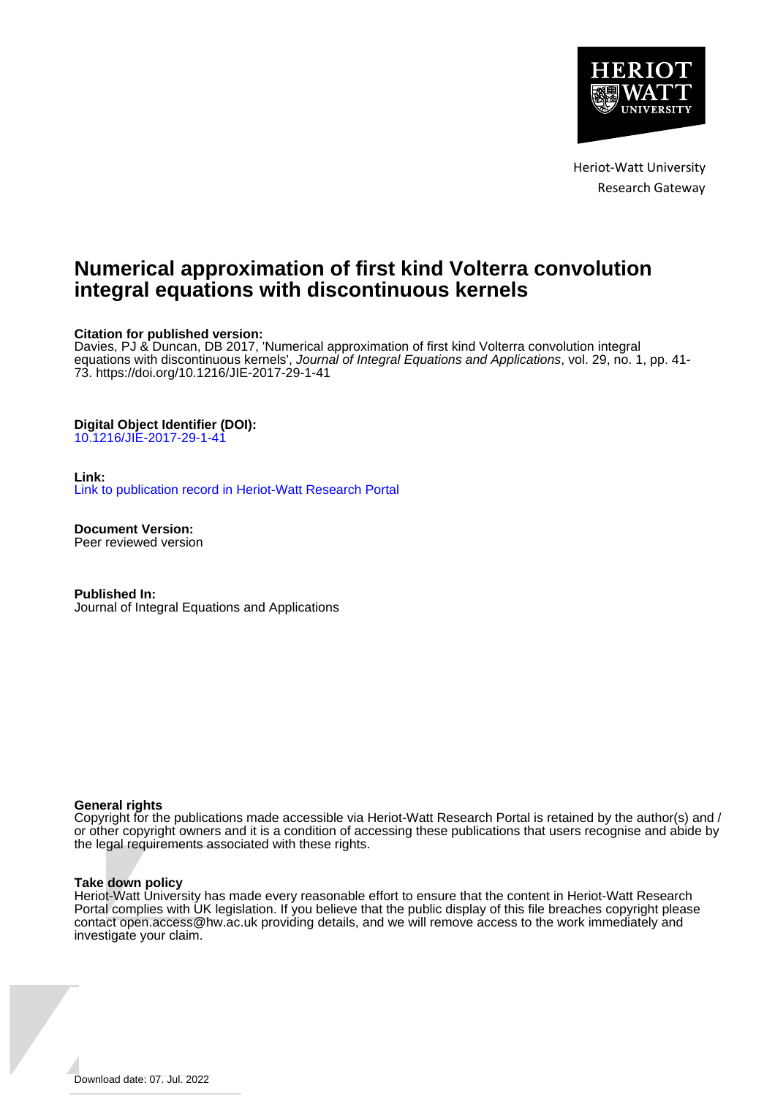

Heriot-Watt University Research Gateway

# **Numerical approximation of first kind Volterra convolution integral equations with discontinuous kernels**

## **Citation for published version:**

Davies, PJ & Duncan, DB 2017, 'Numerical approximation of first kind Volterra convolution integral equations with discontinuous kernels', Journal of Integral Equations and Applications, vol. 29, no. 1, pp. 41-73. <https://doi.org/10.1216/JIE-2017-29-1-41>

## **Digital Object Identifier (DOI):**

[10.1216/JIE-2017-29-1-41](https://doi.org/10.1216/JIE-2017-29-1-41)

## **Link:**

[Link to publication record in Heriot-Watt Research Portal](https://researchportal.hw.ac.uk/en/publications/fe91d908-e59f-448c-bb00-b00e9d1a241f)

**Document Version:** Peer reviewed version

**Published In:** Journal of Integral Equations and Applications

#### **General rights**

Copyright for the publications made accessible via Heriot-Watt Research Portal is retained by the author(s) and / or other copyright owners and it is a condition of accessing these publications that users recognise and abide by the legal requirements associated with these rights.

#### **Take down policy**

Heriot-Watt University has made every reasonable effort to ensure that the content in Heriot-Watt Research Portal complies with UK legislation. If you believe that the public display of this file breaches copyright please contact open.access@hw.ac.uk providing details, and we will remove access to the work immediately and investigate your claim.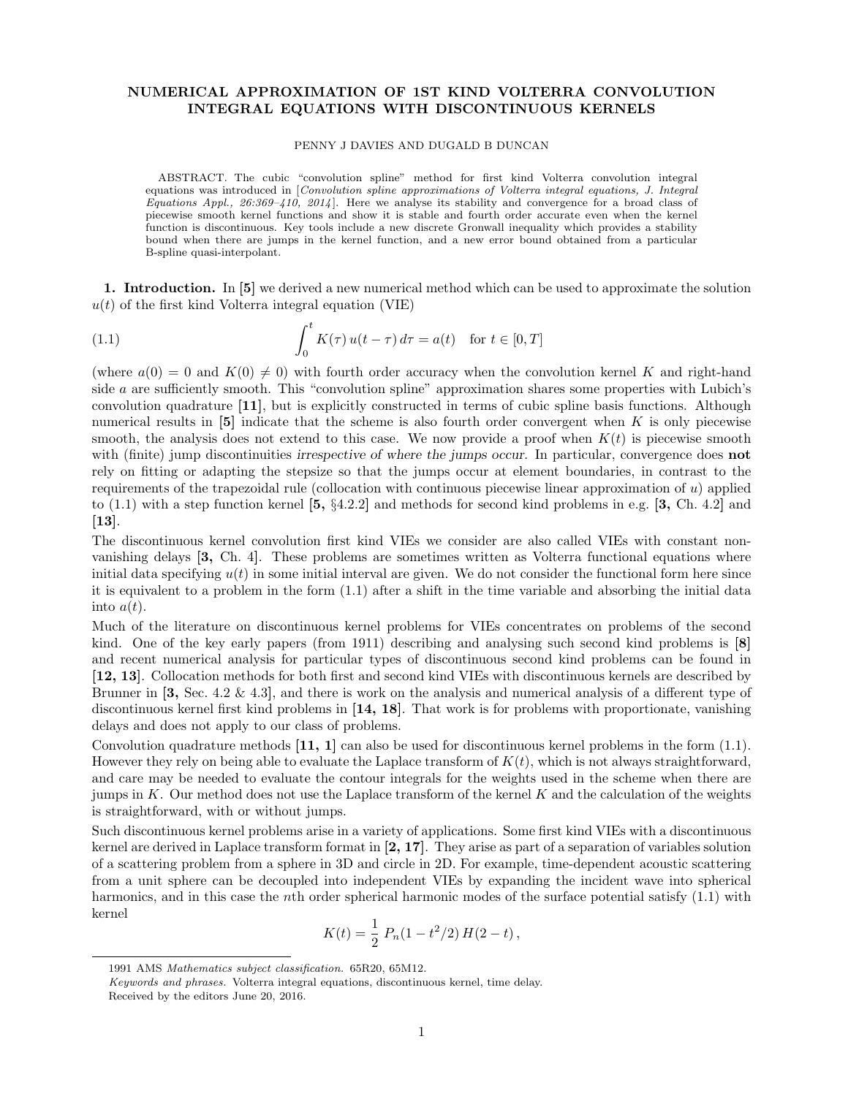### NUMERICAL APPROXIMATION OF 1ST KIND VOLTERRA CONVOLUTION INTEGRAL EQUATIONS WITH DISCONTINUOUS KERNELS

#### PENNY J DAVIES AND DUGALD B DUNCAN

ABSTRACT. The cubic "convolution spline" method for first kind Volterra convolution integral equations was introduced in [Convolution spline approximations of Volterra integral equations, J. Integral Equations Appl.,  $26:369-410$ ,  $2014$ . Here we analyse its stability and convergence for a broad class of piecewise smooth kernel functions and show it is stable and fourth order accurate even when the kernel function is discontinuous. Key tools include a new discrete Gronwall inequality which provides a stability bound when there are jumps in the kernel function, and a new error bound obtained from a particular B-spline quasi-interpolant.

1. Introduction. In [5] we derived a new numerical method which can be used to approximate the solution  $u(t)$  of the first kind Volterra integral equation (VIE)

(1.1) 
$$
\int_0^t K(\tau) u(t - \tau) d\tau = a(t) \text{ for } t \in [0, T]
$$

(where  $a(0) = 0$  and  $K(0) \neq 0$ ) with fourth order accuracy when the convolution kernel K and right-hand side a are sufficiently smooth. This "convolution spline" approximation shares some properties with Lubich's convolution quadrature [11], but is explicitly constructed in terms of cubic spline basis functions. Although numerical results in  $[5]$  indicate that the scheme is also fourth order convergent when K is only piecewise smooth, the analysis does not extend to this case. We now provide a proof when  $K(t)$  is piecewise smooth with (finite) jump discontinuities irrespective of where the jumps occur. In particular, convergence does **not** rely on fitting or adapting the stepsize so that the jumps occur at element boundaries, in contrast to the requirements of the trapezoidal rule (collocation with continuous piecewise linear approximation of u) applied to  $(1.1)$  with a step function kernel  $\begin{bmatrix} 5, \frac{5}{4} & 2 & 2 \end{bmatrix}$  and methods for second kind problems in e.g.  $\begin{bmatrix} 3, \text{Ch. } 4 & 2 \end{bmatrix}$  and [13].

The discontinuous kernel convolution first kind VIEs we consider are also called VIEs with constant nonvanishing delays [3, Ch. 4]. These problems are sometimes written as Volterra functional equations where initial data specifying  $u(t)$  in some initial interval are given. We do not consider the functional form here since it is equivalent to a problem in the form (1.1) after a shift in the time variable and absorbing the initial data into  $a(t)$ .

Much of the literature on discontinuous kernel problems for VIEs concentrates on problems of the second kind. One of the key early papers (from 1911) describing and analysing such second kind problems is [8] and recent numerical analysis for particular types of discontinuous second kind problems can be found in [12, 13]. Collocation methods for both first and second kind VIEs with discontinuous kernels are described by Brunner in [3, Sec. 4.2 & 4.3], and there is work on the analysis and numerical analysis of a different type of discontinuous kernel first kind problems in [14, 18]. That work is for problems with proportionate, vanishing delays and does not apply to our class of problems.

Convolution quadrature methods  $\begin{bmatrix} 11, 1 \end{bmatrix}$  can also be used for discontinuous kernel problems in the form  $(1.1)$ . However they rely on being able to evaluate the Laplace transform of  $K(t)$ , which is not always straightforward, and care may be needed to evaluate the contour integrals for the weights used in the scheme when there are jumps in K. Our method does not use the Laplace transform of the kernel K and the calculation of the weights is straightforward, with or without jumps.

Such discontinuous kernel problems arise in a variety of applications. Some first kind VIEs with a discontinuous kernel are derived in Laplace transform format in [2, 17]. They arise as part of a separation of variables solution of a scattering problem from a sphere in 3D and circle in 2D. For example, time-dependent acoustic scattering from a unit sphere can be decoupled into independent VIEs by expanding the incident wave into spherical harmonics, and in this case the *n*th order spherical harmonic modes of the surface potential satisfy  $(1.1)$  with kernel

$$
K(t) = \frac{1}{2} P_n(1 - t^2/2) H(2 - t),
$$

<sup>1991</sup> AMS Mathematics subject classification. 65R20, 65M12.

Keywords and phrases. Volterra integral equations, discontinuous kernel, time delay.

Received by the editors June 20, 2016.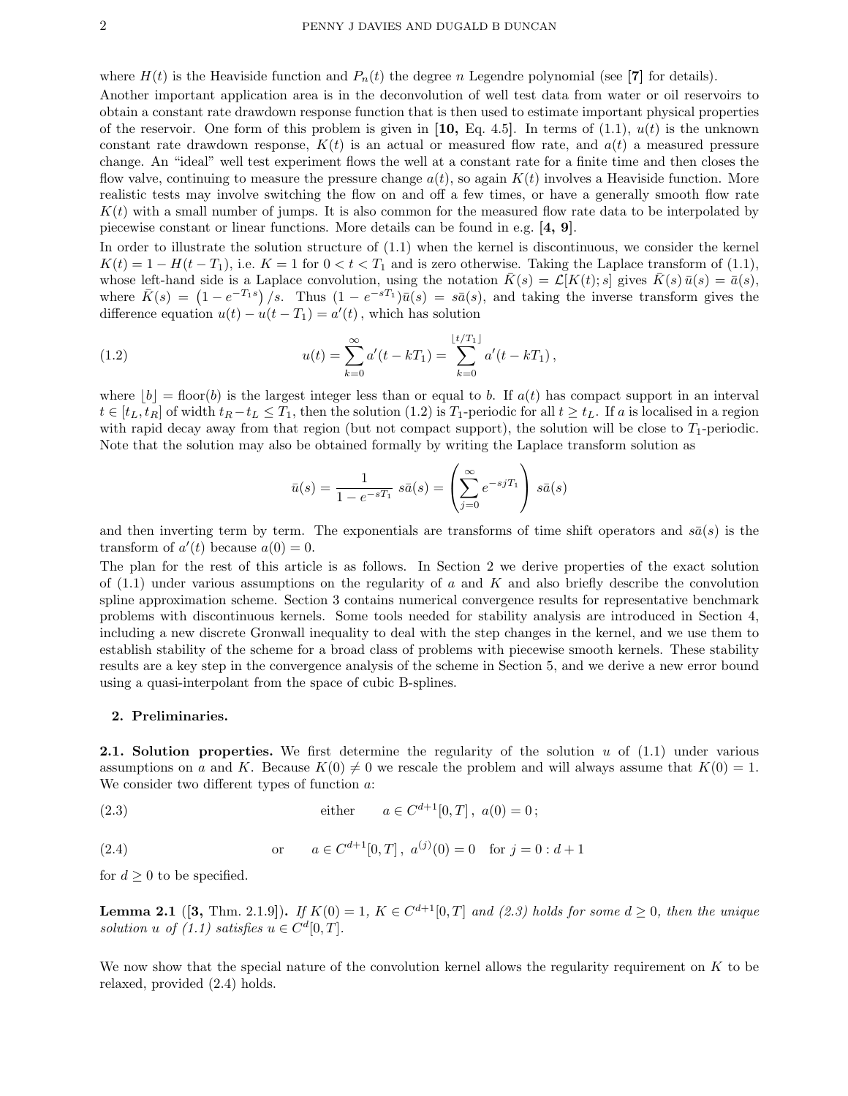where  $H(t)$  is the Heaviside function and  $P_n(t)$  the degree n Legendre polynomial (see [7] for details).

Another important application area is in the deconvolution of well test data from water or oil reservoirs to obtain a constant rate drawdown response function that is then used to estimate important physical properties of the reservoir. One form of this problem is given in  $[10, Eq. 4.5]$ . In terms of  $(1.1)$ ,  $u(t)$  is the unknown constant rate drawdown response,  $K(t)$  is an actual or measured flow rate, and  $a(t)$  a measured pressure change. An "ideal" well test experiment flows the well at a constant rate for a finite time and then closes the flow valve, continuing to measure the pressure change  $a(t)$ , so again  $K(t)$  involves a Heaviside function. More realistic tests may involve switching the flow on and off a few times, or have a generally smooth flow rate  $K(t)$  with a small number of jumps. It is also common for the measured flow rate data to be interpolated by piecewise constant or linear functions. More details can be found in e.g. [4, 9].

In order to illustrate the solution structure of (1.1) when the kernel is discontinuous, we consider the kernel  $K(t) = 1 - H(t - T_1)$ , i.e.  $K = 1$  for  $0 < t < T_1$  and is zero otherwise. Taking the Laplace transform of (1.1), whose left-hand side is a Laplace convolution, using the notation  $K(s) = \mathcal{L}[K(t); s]$  gives  $K(s) \bar{u}(s) = \bar{a}(s)$ , where  $\bar{K}(s) = (1 - e^{-T_1 s})/s$ . Thus  $(1 - e^{-sT_1})\bar{u}(s) = s\bar{a}(s)$ , and taking the inverse transform gives the difference equation  $u(t) - u(t - T_1) = a'(t)$ , which has solution

(1.2) 
$$
u(t) = \sum_{k=0}^{\infty} a'(t - kT_1) = \sum_{k=0}^{\lfloor t/T_1 \rfloor} a'(t - kT_1),
$$

where  $|b| = \text{floor}(b)$  is the largest integer less than or equal to b. If  $a(t)$  has compact support in an interval  $t \in [t_L, t_R]$  of width  $t_R - t_L \leq T_1$ , then the solution (1.2) is  $T_1$ -periodic for all  $t \geq t_L$ . If a is localised in a region with rapid decay away from that region (but not compact support), the solution will be close to  $T_1$ -periodic. Note that the solution may also be obtained formally by writing the Laplace transform solution as

$$
\bar{u}(s) = \frac{1}{1 - e^{-sT_1}} \ s\bar{a}(s) = \left(\sum_{j=0}^{\infty} e^{-sjT_1}\right) \ s\bar{a}(s)
$$

and then inverting term by term. The exponentials are transforms of time shift operators and  $s\bar{a}(s)$  is the transform of  $a'(t)$  because  $a(0) = 0$ .

The plan for the rest of this article is as follows. In Section 2 we derive properties of the exact solution of  $(1.1)$  under various assumptions on the regularity of a and K and also briefly describe the convolution spline approximation scheme. Section 3 contains numerical convergence results for representative benchmark problems with discontinuous kernels. Some tools needed for stability analysis are introduced in Section 4, including a new discrete Gronwall inequality to deal with the step changes in the kernel, and we use them to establish stability of the scheme for a broad class of problems with piecewise smooth kernels. These stability results are a key step in the convergence analysis of the scheme in Section 5, and we derive a new error bound using a quasi-interpolant from the space of cubic B-splines.

#### 2. Preliminaries.

**2.1. Solution properties.** We first determine the regularity of the solution  $u$  of  $(1.1)$  under various assumptions on a and K. Because  $K(0) \neq 0$  we rescale the problem and will always assume that  $K(0) = 1$ . We consider two different types of function a:

(2.3) 
$$
a \in C^{d+1}[0,T], \ a(0) = 0;
$$

(2.4) or 
$$
a \in C^{d+1}[0,T]
$$
,  $a^{(j)}(0) = 0$  for  $j = 0 : d+1$ 

for  $d \geq 0$  to be specified.

**Lemma 2.1** ([3, Thm. 2.1.9]). If  $K(0) = 1$ ,  $K \in C^{d+1}[0,T]$  and (2.3) holds for some  $d \ge 0$ , then the unique solution u of  $(1.1)$  satisfies  $u \in C^d[0,T]$ .

We now show that the special nature of the convolution kernel allows the regularity requirement on  $K$  to be relaxed, provided (2.4) holds.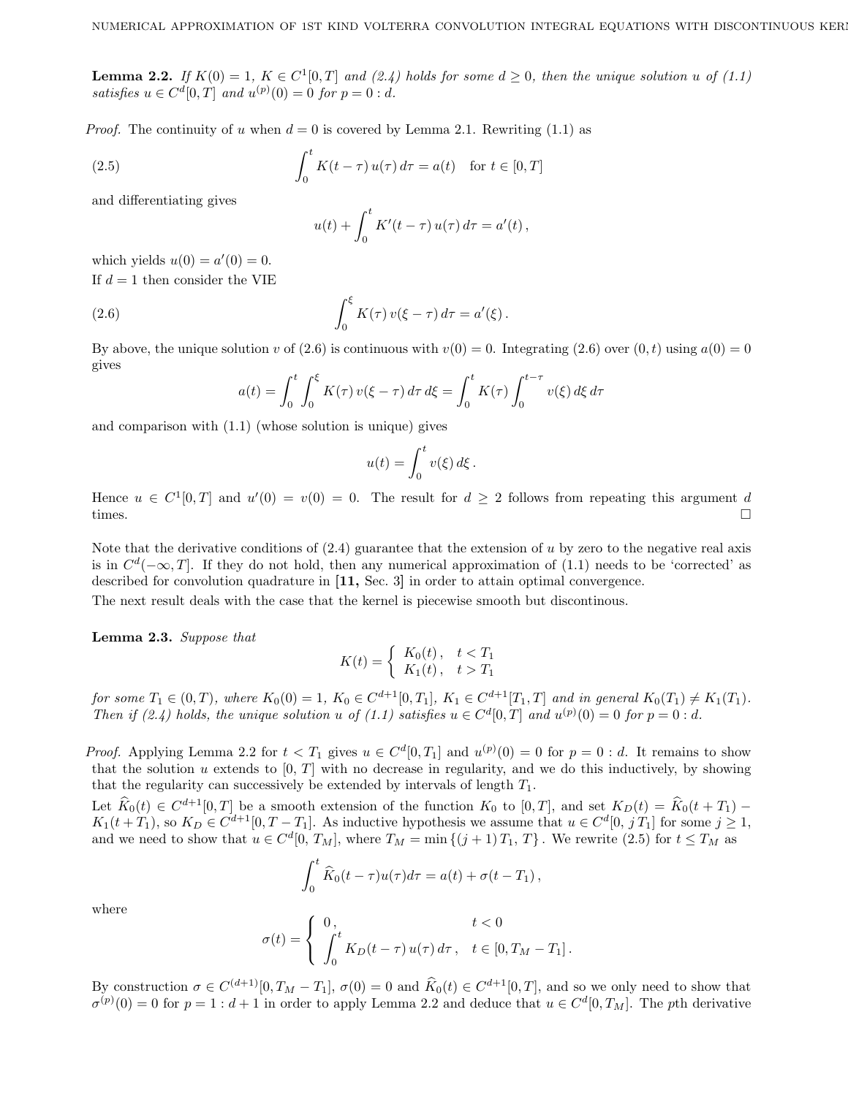**Lemma 2.2.** If  $K(0) = 1$ ,  $K \in C^1[0,T]$  and (2.4) holds for some  $d \geq 0$ , then the unique solution u of (1.1) satisfies  $u \in C^d[0,T]$  and  $u^{(p)}(0) = 0$  for  $p = 0:d$ .

*Proof.* The continuity of u when  $d = 0$  is covered by Lemma 2.1. Rewriting (1.1) as

(2.5) 
$$
\int_0^t K(t-\tau)u(\tau) d\tau = a(t) \text{ for } t \in [0,T]
$$

and differentiating gives

$$
u(t) + \int_0^t K'(t - \tau) u(\tau) d\tau = a'(t),
$$

which yields  $u(0) = a'(0) = 0$ . If  $d = 1$  then consider the VIE

(2.6) 
$$
\int_0^{\xi} K(\tau) v(\xi - \tau) d\tau = a'(\xi).
$$

By above, the unique solution v of (2.6) is continuous with  $v(0) = 0$ . Integrating (2.6) over  $(0, t)$  using  $a(0) = 0$ gives

$$
a(t) = \int_0^t \int_0^{\xi} K(\tau) v(\xi - \tau) d\tau d\xi = \int_0^t K(\tau) \int_0^{t - \tau} v(\xi) d\xi d\tau
$$

and comparison with (1.1) (whose solution is unique) gives

$$
u(t) = \int_0^t v(\xi) d\xi.
$$

Hence  $u \in C^1[0,T]$  and  $u'(0) = v(0) = 0$ . The result for  $d \geq 2$  follows from repeating this argument d times.  $\Box$ 

Note that the derivative conditions of  $(2.4)$  guarantee that the extension of u by zero to the negative real axis is in  $C^d(-\infty,T]$ . If they do not hold, then any numerical approximation of (1.1) needs to be 'corrected' as described for convolution quadrature in [11, Sec. 3] in order to attain optimal convergence.

The next result deals with the case that the kernel is piecewise smooth but discontinous.

Lemma 2.3. Suppose that

$$
K(t) = \begin{cases} K_0(t), & t < T_1 \\ K_1(t), & t > T_1 \end{cases}
$$

for some  $T_1 \in (0,T)$ , where  $K_0(0) = 1$ ,  $K_0 \in C^{d+1}[0,T_1]$ ,  $K_1 \in C^{d+1}[T_1,T]$  and in general  $K_0(T_1) \neq K_1(T_1)$ . Then if (2.4) holds, the unique solution u of (1.1) satisfies  $u \in C^d[0,T]$  and  $u^{(p)}(0) = 0$  for  $p = 0:d$ .

*Proof.* Applying Lemma 2.2 for  $t < T_1$  gives  $u \in C^d[0,T_1]$  and  $u^{(p)}(0) = 0$  for  $p = 0 : d$ . It remains to show that the solution  $u$  extends to  $[0, T]$  with no decrease in regularity, and we do this inductively, by showing that the regularity can successively be extended by intervals of length  $T_1$ .

Let  $\widehat{K}_0(t) \in C^{d+1}[0,T]$  be a smooth extension of the function  $K_0$  to  $[0,T]$ , and set  $K_D(t) = \widehat{K}_0(t + T_1) K_1(t+T_1)$ , so  $K_D \in C^{d+1}[0,T-T_1]$ . As inductive hypothesis we assume that  $u \in C^d[0, j]$  for some  $j \ge 1$ , and we need to show that  $u \in C^d[0, T_M]$ , where  $T_M = \min\{(j+1)T_1, T\}$ . We rewrite (2.5) for  $t \le T_M$  as

$$
\int_0^t \widehat{K}_0(t-\tau)u(\tau)d\tau = a(t) + \sigma(t-T_1),
$$

where

$$
\sigma(t) = \begin{cases} 0, & t < 0 \\ \int_0^t K_D(t - \tau) u(\tau) d\tau, & t \in [0, T_M - T_1]. \end{cases}
$$

By construction  $\sigma \in C^{(d+1)}[0, T_M - T_1]$ ,  $\sigma(0) = 0$  and  $\widehat{K}_0(t) \in C^{d+1}[0, T]$ , and so we only need to show that  $\sigma^{(p)}(0) = 0$  for  $p = 1 : d + 1$  in order to apply Lemma 2.2 and deduce that  $u \in C^d[0, T_M]$ . The pth derivative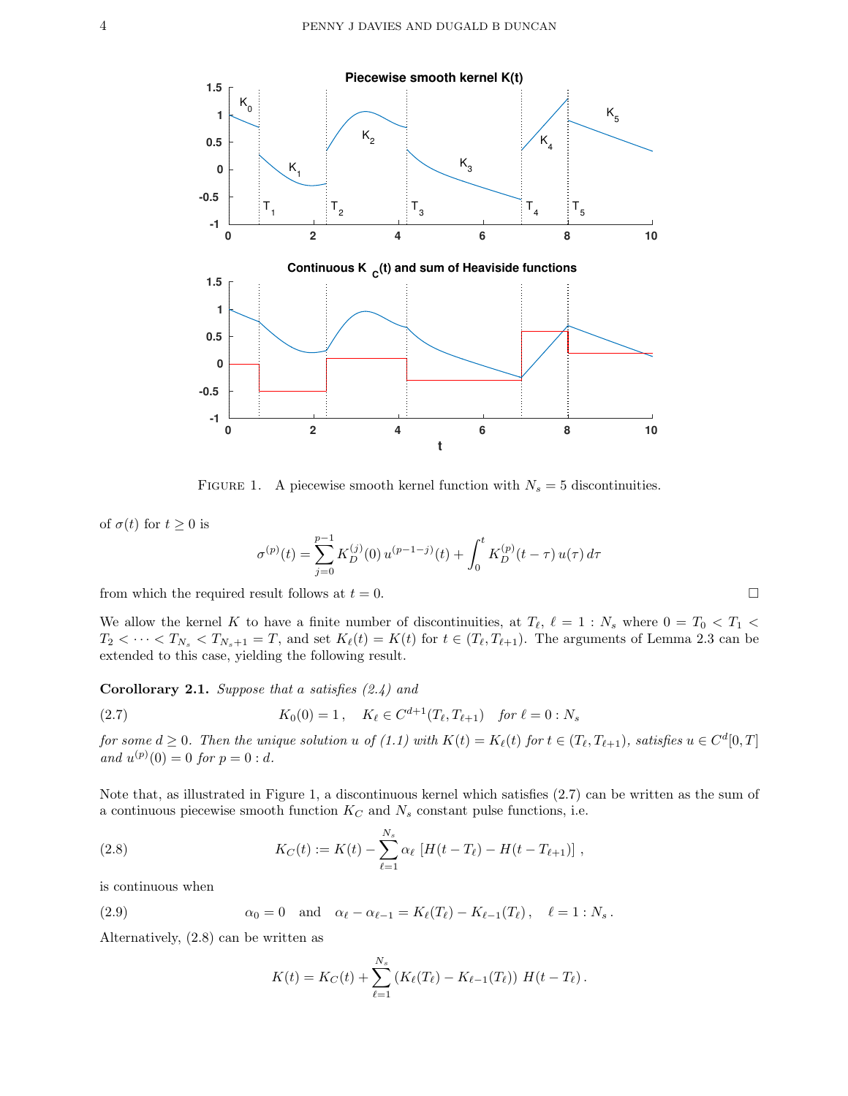

FIGURE 1. A piecewise smooth kernel function with  $N_s = 5$  discontinuities.

of  $\sigma(t)$  for  $t \geq 0$  is

$$
\sigma^{(p)}(t) = \sum_{j=0}^{p-1} K_D^{(j)}(0) u^{(p-1-j)}(t) + \int_0^t K_D^{(p)}(t-\tau) u(\tau) d\tau
$$

from which the required result follows at  $t = 0$ .

We allow the kernel K to have a finite number of discontinuities, at  $T_{\ell}$ ,  $\ell = 1 : N_s$  where  $0 = T_0 < T_1 <$  $T_2 < \cdots < T_{N_s} < T_{N_s+1} = T$ , and set  $K_{\ell}(t) = K(t)$  for  $t \in (T_{\ell}, T_{\ell+1})$ . The arguments of Lemma 2.3 can be extended to this case, yielding the following result.

**Corollorary 2.1.** Suppose that a satisfies  $(2.4)$  and

(2.7) 
$$
K_0(0) = 1, \quad K_\ell \in C^{d+1}(T_\ell, T_{\ell+1}) \quad \text{for } \ell = 0 : N_s
$$

for some  $d \geq 0$ . Then the unique solution u of (1.1) with  $K(t) = K_{\ell}(t)$  for  $t \in (T_{\ell}, T_{\ell+1})$ , satisfies  $u \in C^{d}[0, T]$ and  $u^{(p)}(0) = 0$  for  $p = 0 : d$ .

Note that, as illustrated in Figure 1, a discontinuous kernel which satisfies (2.7) can be written as the sum of a continuous piecewise smooth function  $K_C$  and  $N_s$  constant pulse functions, i.e.

(2.8) 
$$
K_C(t) := K(t) - \sum_{\ell=1}^{N_s} \alpha_\ell \left[ H(t - T_\ell) - H(t - T_{\ell+1}) \right],
$$

is continuous when

(2.9) 
$$
\alpha_0 = 0
$$
 and  $\alpha_{\ell} - \alpha_{\ell-1} = K_{\ell}(T_{\ell}) - K_{\ell-1}(T_{\ell}), \quad \ell = 1 : N_s.$ 

Alternatively, (2.8) can be written as

$$
K(t) = K_C(t) + \sum_{\ell=1}^{N_s} (K_{\ell}(T_{\ell}) - K_{\ell-1}(T_{\ell})) H(t - T_{\ell}).
$$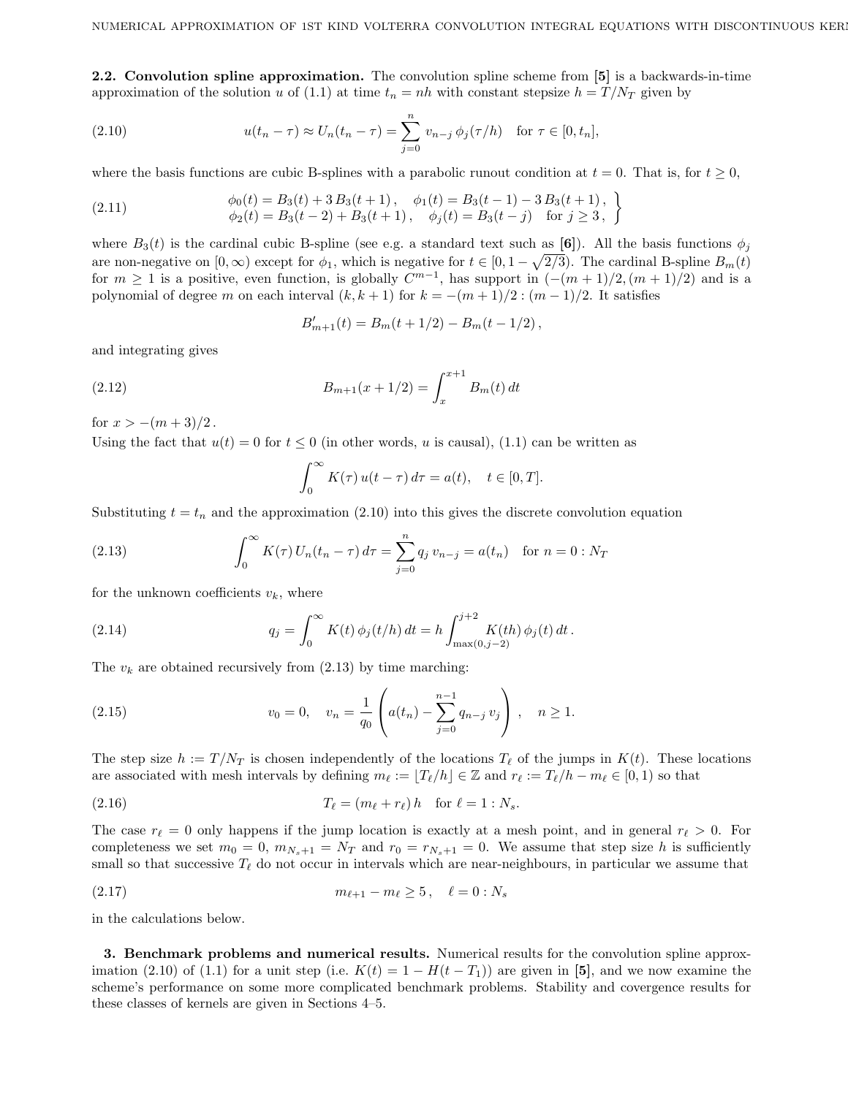2.2. Convolution spline approximation. The convolution spline scheme from [5] is a backwards-in-time approximation of the solution u of (1.1) at time  $t_n = nh$  with constant stepsize  $h = T/N_T$  given by

(2.10) 
$$
u(t_n - \tau) \approx U_n(t_n - \tau) = \sum_{j=0}^n v_{n-j} \phi_j(\tau/h) \text{ for } \tau \in [0, t_n],
$$

where the basis functions are cubic B-splines with a parabolic runout condition at  $t = 0$ . That is, for  $t \ge 0$ ,

(2.11) 
$$
\begin{aligned}\n\phi_0(t) &= B_3(t) + 3B_3(t+1), & \phi_1(t) &= B_3(t-1) - 3B_3(t+1), \\
\phi_2(t) &= B_3(t-2) + B_3(t+1), & \phi_j(t) &= B_3(t-j) & \text{for } j \ge 3,\n\end{aligned}
$$

where  $B_3(t)$  is the cardinal cubic B-spline (see e.g. a standard text such as [6]). All the basis functions  $\phi_j$ are non-negative on  $[0, \infty)$  except for  $\phi_1$ , which is negative for  $t \in [0, 1 - \sqrt{2/3})$ . The cardinal B-spline  $B_m(t)$ for  $m \ge 1$  is a positive, even function, is globally  $C^{m-1}$ , has support in  $(-(m+1)/2, (m+1)/2)$  and is a polynomial of degree m on each interval  $(k, k + 1)$  for  $k = -(m + 1)/2$  :  $(m - 1)/2$ . It satisfies

$$
B'_{m+1}(t) = B_m(t + 1/2) - B_m(t - 1/2),
$$

and integrating gives

(2.12) 
$$
B_{m+1}(x+1/2) = \int_{x}^{x+1} B_{m}(t) dt
$$

for  $x > -(m+3)/2$ .

Using the fact that  $u(t) = 0$  for  $t \leq 0$  (in other words, u is causal), (1.1) can be written as

$$
\int_0^\infty K(\tau) u(t-\tau) d\tau = a(t), \quad t \in [0, T].
$$

Substituting  $t = t_n$  and the approximation (2.10) into this gives the discrete convolution equation

(2.13) 
$$
\int_0^\infty K(\tau) U_n(t_n - \tau) d\tau = \sum_{j=0}^n q_j v_{n-j} = a(t_n) \text{ for } n = 0: N_T
$$

for the unknown coefficients  $v_k$ , where

(2.14) 
$$
q_j = \int_0^\infty K(t) \, \phi_j(t/h) \, dt = h \int_{\max(0,j-2)}^{j+2} K(th) \, \phi_j(t) \, dt \, .
$$

The  $v_k$  are obtained recursively from (2.13) by time marching:

(2.15) 
$$
v_0 = 0, \quad v_n = \frac{1}{q_0} \left( a(t_n) - \sum_{j=0}^{n-1} q_{n-j} v_j \right), \quad n \ge 1.
$$

The step size  $h := T/N_T$  is chosen independently of the locations  $T_\ell$  of the jumps in  $K(t)$ . These locations are associated with mesh intervals by defining  $m_\ell := |T_\ell/h| \in \mathbb{Z}$  and  $r_\ell := T_\ell/h - m_\ell \in [0, 1)$  so that

(2.16) 
$$
T_{\ell} = (m_{\ell} + r_{\ell}) h \text{ for } \ell = 1 : N_s.
$$

The case  $r_{\ell} = 0$  only happens if the jump location is exactly at a mesh point, and in general  $r_{\ell} > 0$ . For completeness we set  $m_0 = 0$ ,  $m_{N_s+1} = N_T$  and  $r_0 = r_{N_s+1} = 0$ . We assume that step size h is sufficiently small so that successive  $T_\ell$  do not occur in intervals which are near-neighbours, in particular we assume that

(2.17) 
$$
m_{\ell+1} - m_{\ell} \ge 5, \quad \ell = 0: N_s
$$

in the calculations below.

3. Benchmark problems and numerical results. Numerical results for the convolution spline approximation (2.10) of (1.1) for a unit step (i.e.  $K(t) = 1 - H(t - T_1)$ ) are given in [5], and we now examine the scheme's performance on some more complicated benchmark problems. Stability and covergence results for these classes of kernels are given in Sections 4–5.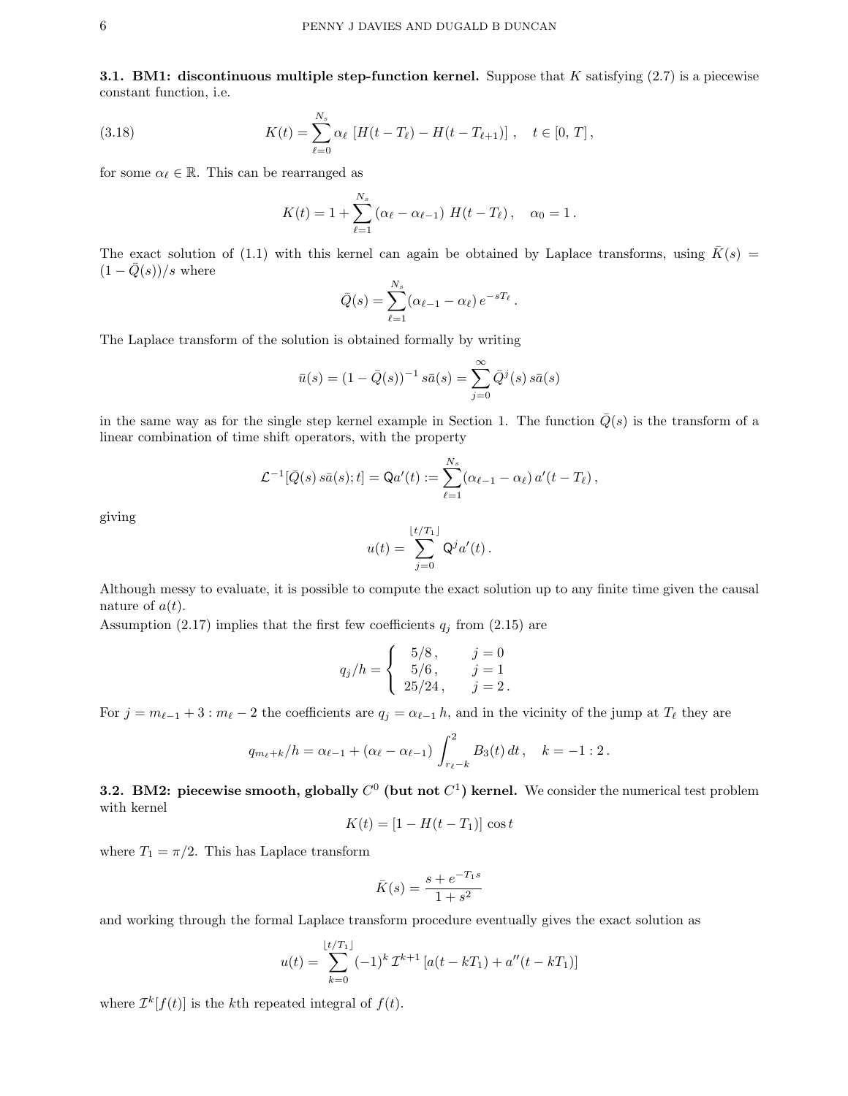**3.1.** BM1: discontinuous multiple step-function kernel. Suppose that K satisfying  $(2.7)$  is a piecewise constant function, i.e.

(3.18) 
$$
K(t) = \sum_{\ell=0}^{N_s} \alpha_{\ell} \left[ H(t - T_{\ell}) - H(t - T_{\ell+1}) \right], \quad t \in [0, T],
$$

for some  $\alpha_{\ell} \in \mathbb{R}$ . This can be rearranged as

$$
K(t) = 1 + \sum_{\ell=1}^{N_s} (\alpha_{\ell} - \alpha_{\ell-1}) H(t - T_{\ell}), \quad \alpha_0 = 1.
$$

The exact solution of (1.1) with this kernel can again be obtained by Laplace transforms, using  $K(s)$  =  $(1 - \overline{Q}(s))/s$  where

$$
\bar{Q}(s) = \sum_{\ell=1}^{N_s} (\alpha_{\ell-1} - \alpha_{\ell}) e^{-sT_{\ell}}.
$$

The Laplace transform of the solution is obtained formally by writing

$$
\bar{u}(s) = (1 - \bar{Q}(s))^{-1} s\bar{a}(s) = \sum_{j=0}^{\infty} \bar{Q}^{j}(s) s\bar{a}(s)
$$

in the same way as for the single step kernel example in Section 1. The function  $Q(s)$  is the transform of a linear combination of time shift operators, with the property

$$
\mathcal{L}^{-1}[\bar{Q}(s) s\bar{a}(s);t] = Qa'(t) := \sum_{\ell=1}^{N_s} (\alpha_{\ell-1} - \alpha_{\ell}) a'(t - T_{\ell}),
$$

giving

$$
u(t) = \sum_{j=0}^{\lfloor t/T_1 \rfloor} \mathsf{Q}^j a'(t) \, .
$$

Although messy to evaluate, it is possible to compute the exact solution up to any finite time given the causal nature of  $a(t)$ .

Assumption (2.17) implies that the first few coefficients  $q_j$  from (2.15) are

$$
q_j/h = \begin{cases} 5/8, & j = 0\\ 5/6, & j = 1\\ 25/24, & j = 2 \end{cases}
$$

For  $j = m_{\ell-1} + 3 : m_{\ell} - 2$  the coefficients are  $q_j = \alpha_{\ell-1} h$ , and in the vicinity of the jump at  $T_{\ell}$  they are

$$
q_{m_{\ell}+k}/h = \alpha_{\ell-1} + (\alpha_{\ell} - \alpha_{\ell-1}) \int_{r_{\ell}-k}^{2} B_3(t) dt, \quad k = -1:2.
$$

**3.2.** BM2: piecewise smooth, globally  $C^0$  (but not  $C^1$ ) kernel. We consider the numerical test problem with kernel

$$
K(t) = [1 - H(t - T_1)] \cos t
$$

where  $T_1 = \pi/2$ . This has Laplace transform

$$
\bar{K}(s) = \frac{s + e^{-T_1 s}}{1 + s^2}
$$

and working through the formal Laplace transform procedure eventually gives the exact solution as

$$
u(t) = \sum_{k=0}^{\lfloor t/T_1 \rfloor} (-1)^k \mathcal{I}^{k+1} \left[ a(t - kT_1) + a''(t - kT_1) \right]
$$

where  $\mathcal{I}^k[f(t)]$  is the kth repeated integral of  $f(t)$ .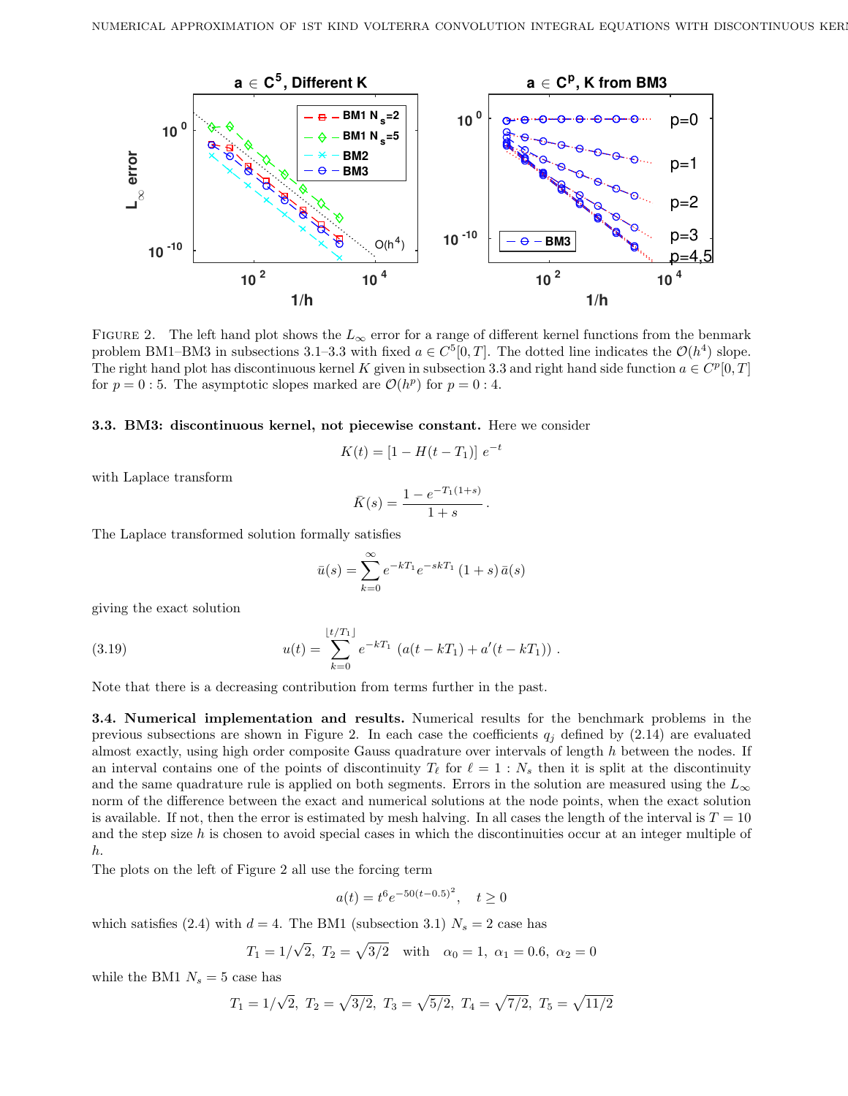

FIGURE 2. The left hand plot shows the  $L_{\infty}$  error for a range of different kernel functions from the benmark problem BM1–BM3 in subsections 3.1–3.3 with fixed  $a \in C^{5}[0, T]$ . The dotted line indicates the  $\mathcal{O}(h^{4})$  slope. The right hand plot has discontinuous kernel K given in subsection 3.3 and right hand side function  $a \in C^p[0,T]$ for  $p = 0$ : 5. The asymptotic slopes marked are  $\mathcal{O}(h^p)$  for  $p = 0:4$ .

#### 3.3. BM3: discontinuous kernel, not piecewise constant. Here we consider

$$
K(t) = [1 - H(t - T_1)] e^{-t}
$$

with Laplace transform

$$
\bar{K}(s) = \frac{1 - e^{-T_1(1+s)}}{1+s}
$$

.

The Laplace transformed solution formally satisfies

$$
\bar{u}(s) = \sum_{k=0}^{\infty} e^{-kT_1} e^{-skT_1} (1+s) \,\bar{a}(s)
$$

giving the exact solution

(3.19) 
$$
u(t) = \sum_{k=0}^{\lfloor t/T_1 \rfloor} e^{-kT_1} \left( a(t - kT_1) + a'(t - kT_1) \right).
$$

Note that there is a decreasing contribution from terms further in the past.

3.4. Numerical implementation and results. Numerical results for the benchmark problems in the previous subsections are shown in Figure 2. In each case the coefficients  $q_i$  defined by (2.14) are evaluated almost exactly, using high order composite Gauss quadrature over intervals of length h between the nodes. If an interval contains one of the points of discontinuity  $T_\ell$  for  $\ell = 1 : N_s$  then it is split at the discontinuity and the same quadrature rule is applied on both segments. Errors in the solution are measured using the  $L_{\infty}$ norm of the difference between the exact and numerical solutions at the node points, when the exact solution is available. If not, then the error is estimated by mesh halving. In all cases the length of the interval is  $T = 10$ and the step size  $h$  is chosen to avoid special cases in which the discontinuities occur at an integer multiple of h.

The plots on the left of Figure 2 all use the forcing term

$$
a(t) = t^6 e^{-50(t-0.5)^2}, \quad t \ge 0
$$

which satisfies (2.4) with  $d = 4$ . The BM1 (subsection 3.1)  $N_s = 2$  case has

$$
T_1 = 1/\sqrt{2}, T_2 = \sqrt{3/2}
$$
 with  $\alpha_0 = 1, \alpha_1 = 0.6, \alpha_2 = 0$ 

while the BM1  $N_s = 5$  case has

$$
T_1 = 1/\sqrt{2}, T_2 = \sqrt{3/2}, T_3 = \sqrt{5/2}, T_4 = \sqrt{7/2}, T_5 = \sqrt{11/2}
$$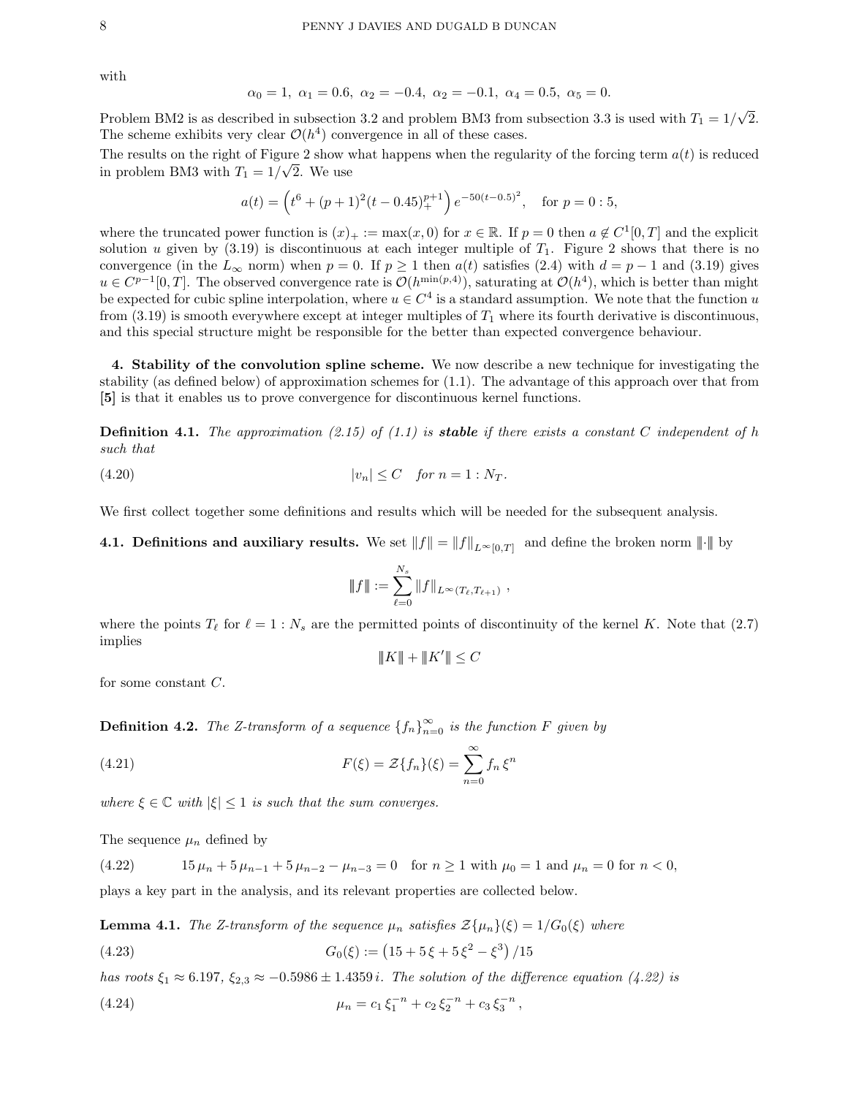with

$$
\alpha_0 = 1, \ \alpha_1 = 0.6, \ \alpha_2 = -0.4, \ \alpha_2 = -0.1, \ \alpha_4 = 0.5, \ \alpha_5 = 0.
$$

Problem BM2 is as described in subsection 3.2 and problem BM3 from subsection 3.3 is used with  $T_1 = 1/$ √ 2. The scheme exhibits very clear  $\mathcal{O}(h^4)$  convergence in all of these cases.

The results on the right of Figure 2 show what happens when the regularity of the forcing term  $a(t)$  is reduced in problem BM3 with  $T_1 = 1/\sqrt{2}$ . We use

$$
a(t) = \left(t^6 + (p+1)^2(t-0.45)_{+}^{p+1}\right)e^{-50(t-0.5)^2}, \text{ for } p = 0:5,
$$

where the truncated power function is  $(x)_+ := \max(x, 0)$  for  $x \in \mathbb{R}$ . If  $p = 0$  then  $a \notin C^1[0, T]$  and the explicit solution u given by  $(3.19)$  is discontinuous at each integer multiple of  $T_1$ . Figure 2 shows that there is no convergence (in the  $L_{\infty}$  norm) when  $p = 0$ . If  $p \ge 1$  then  $a(t)$  satisfies (2.4) with  $d = p - 1$  and (3.19) gives  $u \in C^{p-1}[0,T]$ . The observed convergence rate is  $\mathcal{O}(h^{\min(p,4)})$ , saturating at  $\mathcal{O}(h^4)$ , which is better than might be expected for cubic spline interpolation, where  $u \in C^4$  is a standard assumption. We note that the function u from  $(3.19)$  is smooth everywhere except at integer multiples of  $T_1$  where its fourth derivative is discontinuous, and this special structure might be responsible for the better than expected convergence behaviour.

4. Stability of the convolution spline scheme. We now describe a new technique for investigating the stability (as defined below) of approximation schemes for (1.1). The advantage of this approach over that from [5] is that it enables us to prove convergence for discontinuous kernel functions.

**Definition 4.1.** The approximation (2.15) of (1.1) is **stable** if there exists a constant C independent of h such that

$$
|v_n| \le C \quad \text{for } n = 1 : N_T.
$$

We first collect together some definitions and results which will be needed for the subsequent analysis.

**4.1. Definitions and auxiliary results.** We set  $||f|| = ||f||_{L^{\infty}[0,T]}$  and define the broken norm  $||\cdot||$  by

$$
\|f\| := \sum_{\ell=0}^{N_s} \|f\|_{L^\infty(T_\ell, T_{\ell+1})},
$$

where the points  $T_\ell$  for  $\ell = 1 : N_s$  are the permitted points of discontinuity of the kernel K. Note that (2.7) implies

 $||K|| + ||K'|| \leq C$ 

for some constant C.

**Definition 4.2.** The Z-transform of a sequence  $\{f_n\}_{n=0}^{\infty}$  is the function F given by

(4.21) 
$$
F(\xi) = \mathcal{Z}\{f_n\}(\xi) = \sum_{n=0}^{\infty} f_n \xi^n
$$

where  $\xi \in \mathbb{C}$  with  $|\xi| \leq 1$  is such that the sum converges.

The sequence  $\mu_n$  defined by

 $(4.22)$  15  $\mu_n + 5 \mu_{n-1} + 5 \mu_{n-2} - \mu_{n-3} = 0$  for  $n \ge 1$  with  $\mu_0 = 1$  and  $\mu_n = 0$  for  $n < 0$ , plays a key part in the analysis, and its relevant properties are collected below.

**Lemma 4.1.** The Z-transform of the sequence  $\mu_n$  satisfies  $\mathcal{Z}\{\mu_n\}(\xi) = 1/G_0(\xi)$  where

(4.23)  $G_0(\xi) := (15 + 5\xi + 5\xi^2 - \xi^3)/15$ 

has roots  $\xi_1 \approx 6.197$ ,  $\xi_{2,3} \approx -0.5986 \pm 1.4359 i$ . The solution of the difference equation (4.22) is (4.24)  $\mu_n = c_1 \xi_1^{-n} + c_2 \xi_2^{-n} + c_3 \xi_3^{-n},$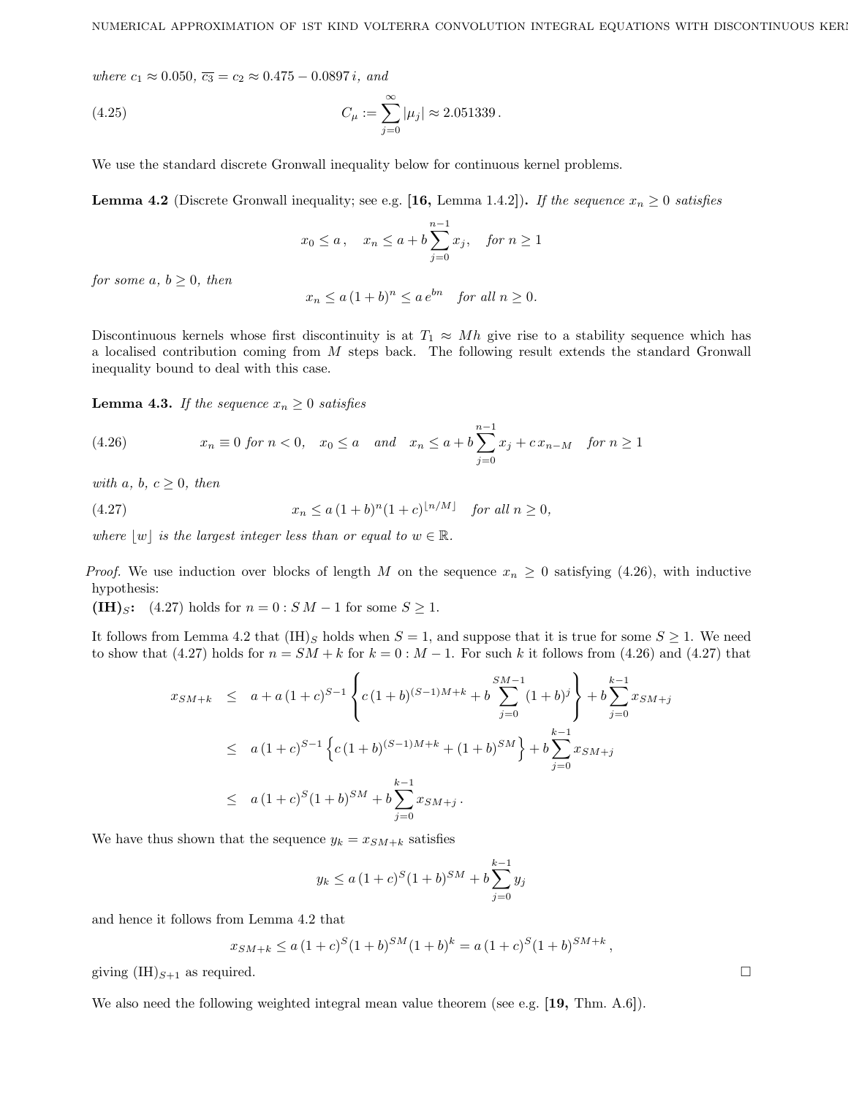where  $c_1 \approx 0.050$ ,  $\overline{c_3} = c_2 \approx 0.475 - 0.0897 i$ , and

(4.25) 
$$
C_{\mu} := \sum_{j=0}^{\infty} |\mu_j| \approx 2.051339.
$$

We use the standard discrete Gronwall inequality below for continuous kernel problems.

**Lemma 4.2** (Discrete Gronwall inequality; see e.g. [16, Lemma 1.4.2]). If the sequence  $x_n \geq 0$  satisfies

$$
x_0 \le a, \quad x_n \le a + b \sum_{j=0}^{n-1} x_j, \quad \text{for } n \ge 1
$$

for some a,  $b \geq 0$ , then

$$
x_n \le a \left(1+b\right)^n \le a \, e^{bn} \quad \text{for all } n \ge 0.
$$

Discontinuous kernels whose first discontinuity is at  $T_1 \approx Mh$  give rise to a stability sequence which has a localised contribution coming from M steps back. The following result extends the standard Gronwall inequality bound to deal with this case.

**Lemma 4.3.** If the sequence  $x_n \geq 0$  satisfies

(4.26) 
$$
x_n \equiv 0 \text{ for } n < 0, \quad x_0 \le a \quad and \quad x_n \le a + b \sum_{j=0}^{n-1} x_j + c x_{n-M} \quad \text{for } n \ge 1
$$

with a, b,  $c \geq 0$ , then

(4.27) 
$$
x_n \le a (1+b)^n (1+c)^{\lfloor n/M \rfloor} \text{ for all } n \ge 0,
$$

where  $|w|$  is the largest integer less than or equal to  $w \in \mathbb{R}$ .

*Proof.* We use induction over blocks of length M on the sequence  $x_n \geq 0$  satisfying (4.26), with inductive hypothesis:

(IH)<sub>S</sub>: (4.27) holds for  $n = 0$ :  $S M - 1$  for some  $S \ge 1$ .

It follows from Lemma 4.2 that  $(\text{IH})_S$  holds when  $S = 1$ , and suppose that it is true for some  $S \geq 1$ . We need to show that (4.27) holds for  $n = SM + k$  for  $k = 0 : M - 1$ . For such k it follows from (4.26) and (4.27) that

$$
x_{SM+k} \leq a + a(1+c)^{S-1} \left\{ c(1+b)^{(S-1)M+k} + b \sum_{j=0}^{SM-1} (1+b)^j \right\} + b \sum_{j=0}^{k-1} x_{SM+j}
$$
  

$$
\leq a(1+c)^{S-1} \left\{ c(1+b)^{(S-1)M+k} + (1+b)^{SM} \right\} + b \sum_{j=0}^{k-1} x_{SM+j}
$$
  

$$
\leq a(1+c)^{S}(1+b)^{SM} + b \sum_{j=0}^{k-1} x_{SM+j}.
$$

We have thus shown that the sequence  $y_k = x_{SM+k}$  satisfies

$$
y_k \le a (1+c)^S (1+b)^{SM} + b \sum_{j=0}^{k-1} y_j
$$

and hence it follows from Lemma 4.2 that

$$
x_{SM+k} \le a\left(1+c\right)^S (1+b)^{SM} (1+b)^k = a\left(1+c\right)^S (1+b)^{SM+k},
$$

giving  $(IH)_{S+1}$  as required.

We also need the following weighted integral mean value theorem (see e.g.  $[19, Thm. A.6]$ ).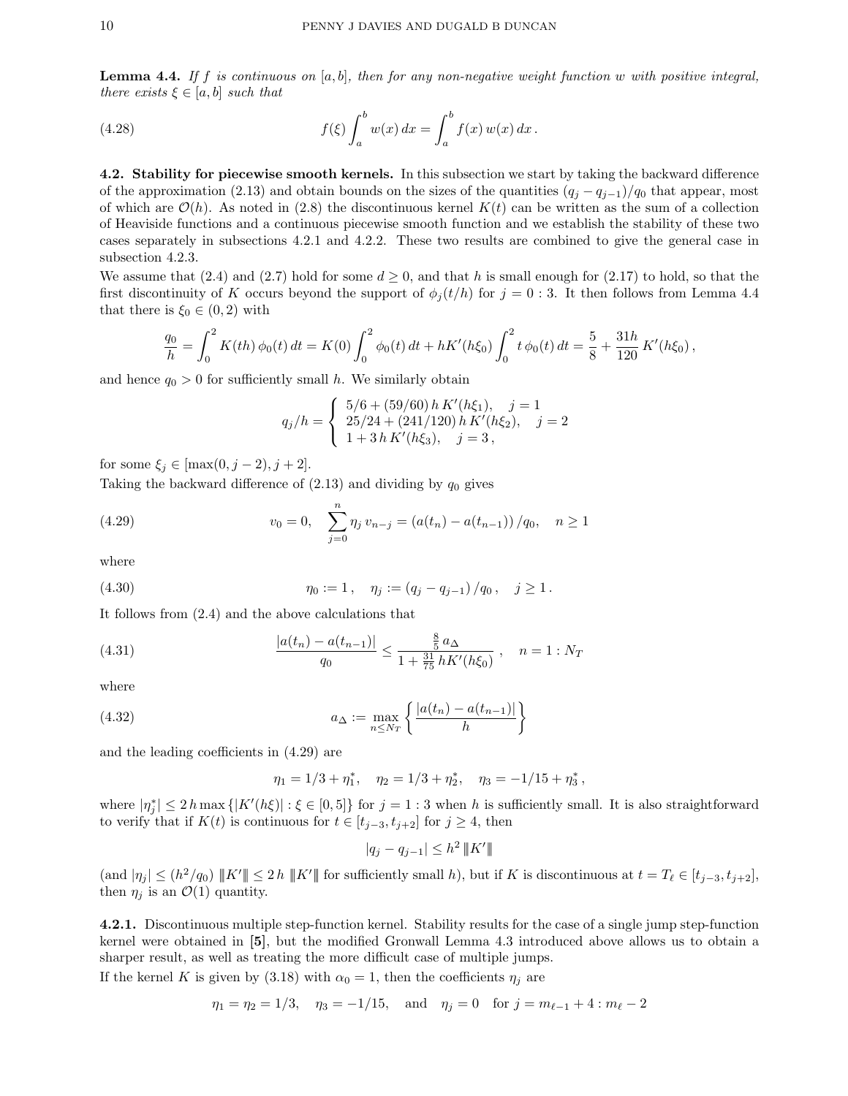**Lemma 4.4.** If f is continuous on  $[a, b]$ , then for any non-negative weight function w with positive integral, there exists  $\xi \in [a, b]$  such that

(4.28) 
$$
f(\xi) \int_{a}^{b} w(x) dx = \int_{a}^{b} f(x) w(x) dx.
$$

4.2. Stability for piecewise smooth kernels. In this subsection we start by taking the backward difference of the approximation (2.13) and obtain bounds on the sizes of the quantities  $(q_i - q_{i-1})/q_0$  that appear, most of which are  $\mathcal{O}(h)$ . As noted in (2.8) the discontinuous kernel  $K(t)$  can be written as the sum of a collection of Heaviside functions and a continuous piecewise smooth function and we establish the stability of these two cases separately in subsections 4.2.1 and 4.2.2. These two results are combined to give the general case in subsection 4.2.3.

We assume that (2.4) and (2.7) hold for some  $d \geq 0$ , and that h is small enough for (2.17) to hold, so that the first discontinuity of K occurs beyond the support of  $\phi_i(t/h)$  for  $j = 0:3$ . It then follows from Lemma 4.4 that there is  $\xi_0 \in (0, 2)$  with

$$
\frac{q_0}{h} = \int_0^2 K(th) \phi_0(t) dt = K(0) \int_0^2 \phi_0(t) dt + hK'(h\xi_0) \int_0^2 t \phi_0(t) dt = \frac{5}{8} + \frac{31h}{120} K'(h\xi_0),
$$

and hence  $q_0 > 0$  for sufficiently small h. We similarly obtain

$$
q_j/h = \begin{cases} 5/6 + (59/60) h K'(h\xi_1), & j = 1\\ 25/24 + (241/120) h K'(h\xi_2), & j = 2\\ 1 + 3 h K'(h\xi_3), & j = 3, \end{cases}
$$

for some  $\xi_j \in [\max(0, j-2), j+2].$ 

Taking the backward difference of  $(2.13)$  and dividing by  $q_0$  gives

(4.29) 
$$
v_0 = 0, \quad \sum_{j=0}^n \eta_j v_{n-j} = (a(t_n) - a(t_{n-1})) / q_0, \quad n \ge 1
$$

where

(4.30) 
$$
\eta_0 := 1, \quad \eta_j := (q_j - q_{j-1})/q_0, \quad j \ge 1.
$$

It follows from (2.4) and the above calculations that

(4.31) 
$$
\frac{|a(t_n) - a(t_{n-1})|}{q_0} \le \frac{\frac{8}{5} a_{\Delta}}{1 + \frac{31}{75} hK'(h\xi_0)}, \quad n = 1 : N_T
$$

where

(4.32) 
$$
a_{\Delta} := \max_{n \leq N_T} \left\{ \frac{|a(t_n) - a(t_{n-1})|}{h} \right\}
$$

and the leading coefficients in (4.29) are

$$
\eta_1=1/3+\eta_1^*,\quad \eta_2=1/3+\eta_2^*,\quad \eta_3=-1/15+\eta_3^*\,,
$$

where  $|\eta_j^*| \leq 2h \max\{|K'(h\xi)| : \xi \in [0,5]\}$  for  $j = 1:3$  when h is sufficiently small. It is also straightforward to verify that if  $K(t)$  is continuous for  $t \in [t_{j-3}, t_{j+2}]$  for  $j \geq 4$ , then

$$
|q_j - q_{j-1}| \leq h^2 | \|K'\|
$$

 $\text{(and } |\eta_j| \leq (h^2/q_0) \llbracket K \llbracket \leq 2h \llbracket K \llbracket \text{ for sufficiently small } h), \text{ but if } K \text{ is discontinuous at } t = T_\ell \in [t_{j-3}, t_{j+2}],$ then  $\eta_i$  is an  $\mathcal{O}(1)$  quantity.

4.2.1. Discontinuous multiple step-function kernel. Stability results for the case of a single jump step-function kernel were obtained in [5], but the modified Gronwall Lemma 4.3 introduced above allows us to obtain a sharper result, as well as treating the more difficult case of multiple jumps.

If the kernel K is given by (3.18) with  $\alpha_0 = 1$ , then the coefficients  $\eta_j$  are

$$
\eta_1 = \eta_2 = 1/3
$$
,  $\eta_3 = -1/15$ , and  $\eta_j = 0$  for  $j = m_{\ell-1} + 4 : m_{\ell} - 2$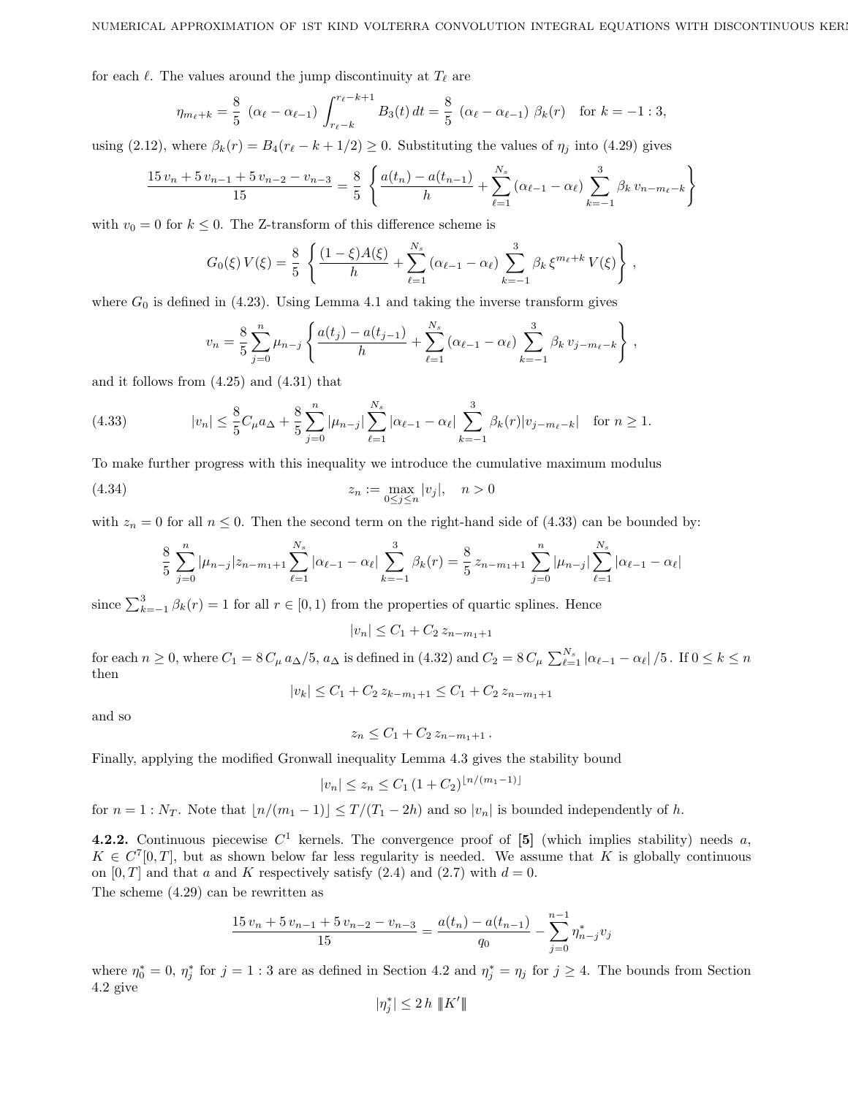for each  $\ell$ . The values around the jump discontinuity at  $T_{\ell}$  are

$$
\eta_{m_{\ell}+k} = \frac{8}{5} \left( \alpha_{\ell} - \alpha_{\ell-1} \right) \int_{r_{\ell}-k}^{r_{\ell}-k+1} B_3(t) \, dt = \frac{8}{5} \left( \alpha_{\ell} - \alpha_{\ell-1} \right) \beta_k(r) \quad \text{for } k = -1:3,
$$

using (2.12), where  $\beta_k(r) = B_4(r_\ell - k + 1/2) \geq 0$ . Substituting the values of  $\eta_j$  into (4.29) gives

$$
\frac{15 v_n + 5 v_{n-1} + 5 v_{n-2} - v_{n-3}}{15} = \frac{8}{5} \left\{ \frac{a(t_n) - a(t_{n-1})}{h} + \sum_{\ell=1}^{N_s} (\alpha_{\ell-1} - \alpha_{\ell}) \sum_{k=-1}^{3} \beta_k v_{n-m_{\ell}-k} \right\}
$$

with  $v_0 = 0$  for  $k \leq 0$ . The Z-transform of this difference scheme is

$$
G_0(\xi) V(\xi) = \frac{8}{5} \left\{ \frac{(1-\xi)A(\xi)}{h} + \sum_{\ell=1}^{N_s} (\alpha_{\ell-1} - \alpha_{\ell}) \sum_{k=-1}^3 \beta_k \xi^{m_{\ell}+k} V(\xi) \right\},
$$

where  $G_0$  is defined in (4.23). Using Lemma 4.1 and taking the inverse transform gives

$$
v_n = \frac{8}{5} \sum_{j=0}^n \mu_{n-j} \left\{ \frac{a(t_j) - a(t_{j-1})}{h} + \sum_{\ell=1}^{N_s} \left( \alpha_{\ell-1} - \alpha_{\ell} \right) \sum_{k=-1}^3 \beta_k v_{j-m_{\ell}-k} \right\},
$$

and it follows from (4.25) and (4.31) that

(4.33) 
$$
|v_n| \leq \frac{8}{5}C_{\mu}a_{\Delta} + \frac{8}{5}\sum_{j=0}^n|\mu_{n-j}|\sum_{\ell=1}^{N_s}|\alpha_{\ell-1} - \alpha_{\ell}|\sum_{k=-1}^3 \beta_k(r)|v_{j-m_{\ell}-k}| \text{ for } n \geq 1.
$$

To make further progress with this inequality we introduce the cumulative maximum modulus

(4.34) 
$$
z_n := \max_{0 \le j \le n} |v_j|, \quad n > 0
$$

with  $z_n = 0$  for all  $n \leq 0$ . Then the second term on the right-hand side of (4.33) can be bounded by:

$$
\frac{8}{5} \sum_{j=0}^{n} |\mu_{n-j}| z_{n-m_1+1} \sum_{\ell=1}^{N_s} |\alpha_{\ell-1} - \alpha_{\ell}| \sum_{k=-1}^{3} \beta_k(r) = \frac{8}{5} z_{n-m_1+1} \sum_{j=0}^{n} |\mu_{n-j}| \sum_{\ell=1}^{N_s} |\alpha_{\ell-1} - \alpha_{\ell}|
$$

since  $\sum_{k=-1}^{3} \beta_k(r) = 1$  for all  $r \in [0, 1)$  from the properties of quartic splines. Hence

$$
|v_n| \le C_1 + C_2 z_{n-m_1+1}
$$

for each  $n \geq 0$ , where  $C_1 = 8 C_\mu a_\Delta/5$ ,  $a_\Delta$  is defined in (4.32) and  $C_2 = 8 C_\mu \sum_{\ell=1}^{N_s} |\alpha_{\ell-1} - \alpha_\ell|/5$ . If  $0 \leq k \leq n$ then

$$
|v_k| \le C_1 + C_2 z_{k-m_1+1} \le C_1 + C_2 z_{n-m_1+1}
$$

and so

$$
z_n \leq C_1 + C_2 z_{n-m_1+1} \, .
$$

Finally, applying the modified Gronwall inequality Lemma 4.3 gives the stability bound

$$
|v_n| \le z_n \le C_1 \left(1 + C_2\right)^{\lfloor n/(m_1 - 1) \rfloor}
$$

for  $n = 1 : N_T$ . Note that  $\lfloor n/(m_1 - 1) \rfloor \leq T / (T_1 - 2h)$  and so  $|v_n|$  is bounded independently of h.

**4.2.2.** Continuous piecewise  $C^1$  kernels. The convergence proof of [5] (which implies stability) needs a,  $K \in C^{7}[0,T]$ , but as shown below far less regularity is needed. We assume that K is globally continuous on  $[0, T]$  and that a and K respectively satisfy  $(2.4)$  and  $(2.7)$  with  $d = 0$ . The scheme (4.29) can be rewritten as

$$
\frac{15 v_n + 5 v_{n-1} + 5 v_{n-2} - v_{n-3}}{15} = \frac{a(t_n) - a(t_{n-1})}{q_0} - \sum_{j=0}^{n-1} \eta_{n-j}^* v_j
$$

where  $\eta_0^* = 0$ ,  $\eta_j^*$  for  $j = 1:3$  are as defined in Section 4.2 and  $\eta_j^* = \eta_j$  for  $j \ge 4$ . The bounds from Section 4.2 give

$$
|\eta^*_j|\leq 2\,h\,\,\|K'\|
$$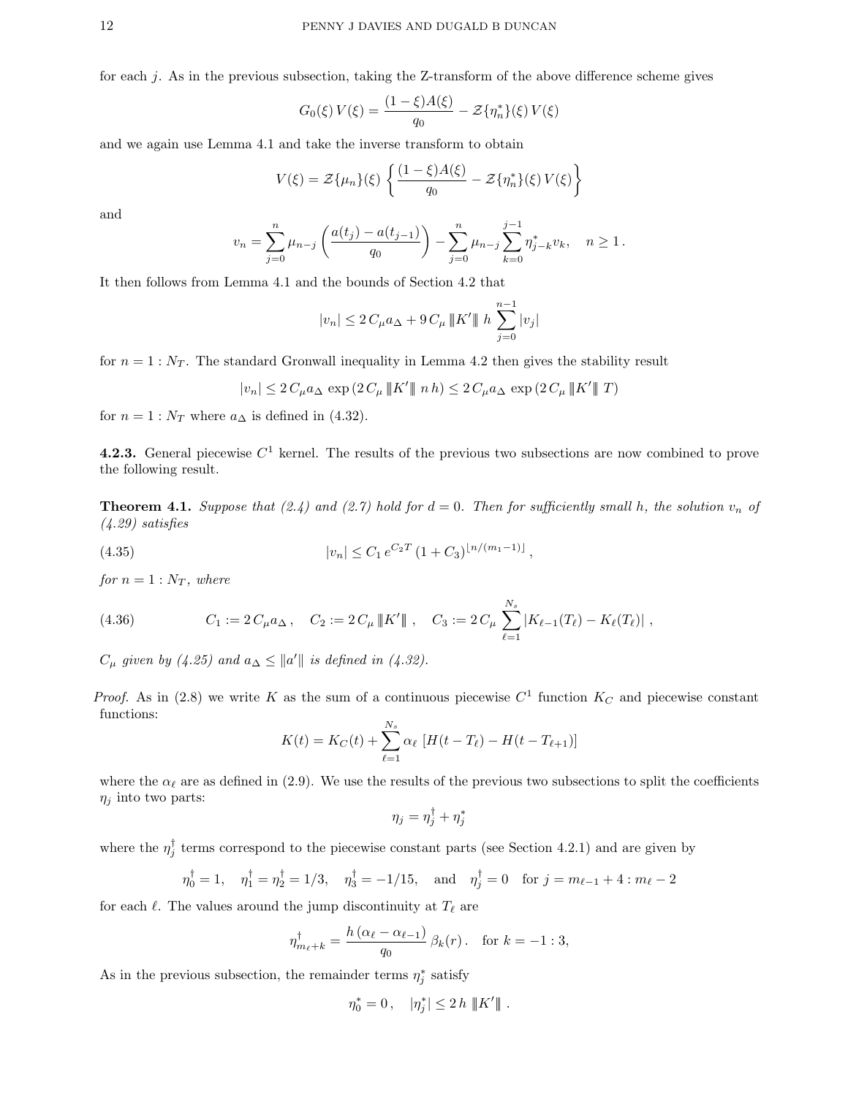for each j. As in the previous subsection, taking the Z-transform of the above difference scheme gives

$$
G_0(\xi) V(\xi) = \frac{(1 - \xi)A(\xi)}{q_0} - \mathcal{Z} \{\eta_n^*\}(\xi) V(\xi)
$$

and we again use Lemma 4.1 and take the inverse transform to obtain

$$
V(\xi) = \mathcal{Z}\{\mu_n\}(\xi) \left\{ \frac{(1-\xi)A(\xi)}{q_0} - \mathcal{Z}\{\eta_n^*\}(\xi) V(\xi) \right\}
$$

and

$$
v_n = \sum_{j=0}^n \mu_{n-j} \left( \frac{a(t_j) - a(t_{j-1})}{q_0} \right) - \sum_{j=0}^n \mu_{n-j} \sum_{k=0}^{j-1} \eta_{j-k}^* v_k, \quad n \ge 1.
$$

It then follows from Lemma 4.1 and the bounds of Section 4.2 that

$$
|v_n| \le 2 C_{\mu} a_{\Delta} + 9 C_{\mu} ||K'|| h \sum_{j=0}^{n-1} |v_j|
$$

for  $n = 1 : N_T$ . The standard Gronwall inequality in Lemma 4.2 then gives the stability result

$$
|v_n| \leq 2 C_{\mu} a_{\Delta} \exp\left(2 C_{\mu} \Vert K' \Vert \right) n h \leq 2 C_{\mu} a_{\Delta} \exp\left(2 C_{\mu} \Vert K' \Vert \right)
$$

for  $n = 1 : N_T$  where  $a_{\Delta}$  is defined in (4.32).

**4.2.3.** General piecewise  $C^1$  kernel. The results of the previous two subsections are now combined to prove the following result.

**Theorem 4.1.** Suppose that (2.4) and (2.7) hold for  $d = 0$ . Then for sufficiently small h, the solution  $v_n$  of (4.29) satisfies

,

(4.35) 
$$
|v_n| \le C_1 e^{C_2 T} (1 + C_3)^{\lfloor n/(m_1 - 1) \rfloor}
$$

for  $n = 1 : N_T$ , where

(4.36) 
$$
C_1 := 2 C_{\mu} a_{\Delta}, \quad C_2 := 2 C_{\mu} ||K'||, \quad C_3 := 2 C_{\mu} \sum_{\ell=1}^{N_s} |K_{\ell-1}(T_{\ell}) - K_{\ell}(T_{\ell})|,
$$

 $C_{\mu}$  given by (4.25) and  $a_{\Delta} \leq ||a'||$  is defined in (4.32).

*Proof.* As in (2.8) we write K as the sum of a continuous piecewise  $C<sup>1</sup>$  function  $K_C$  and piecewise constant functions:

$$
K(t) = K_C(t) + \sum_{\ell=1}^{N_s} \alpha_{\ell} [H(t - T_{\ell}) - H(t - T_{\ell+1})]
$$

where the  $\alpha_{\ell}$  are as defined in (2.9). We use the results of the previous two subsections to split the coefficients  $\eta_j$  into two parts:

$$
\eta_j=\eta_j^\dagger+\eta_j^*
$$

where the  $\eta_j^{\dagger}$  terms correspond to the piecewise constant parts (see Section 4.2.1) and are given by

$$
\eta_0^{\dagger} = 1
$$
,  $\eta_1^{\dagger} = \eta_2^{\dagger} = 1/3$ ,  $\eta_3^{\dagger} = -1/15$ , and  $\eta_j^{\dagger} = 0$  for  $j = m_{\ell-1} + 4 : m_{\ell} - 2$ 

for each  $\ell$ . The values around the jump discontinuity at  $T_{\ell}$  are

$$
\eta_{m_{\ell}+k}^{\dagger} = \frac{h\left(\alpha_{\ell}-\alpha_{\ell-1}\right)}{q_0} \,\beta_k(r) \,.\quad \text{for } k = -1:3,
$$

As in the previous subsection, the remainder terms  $\eta_j^*$  satisfy

$$
\eta_0^* = 0 \,, \quad |\eta_j^*| \leq 2 \, h \, \left\| K' \right\| \,.
$$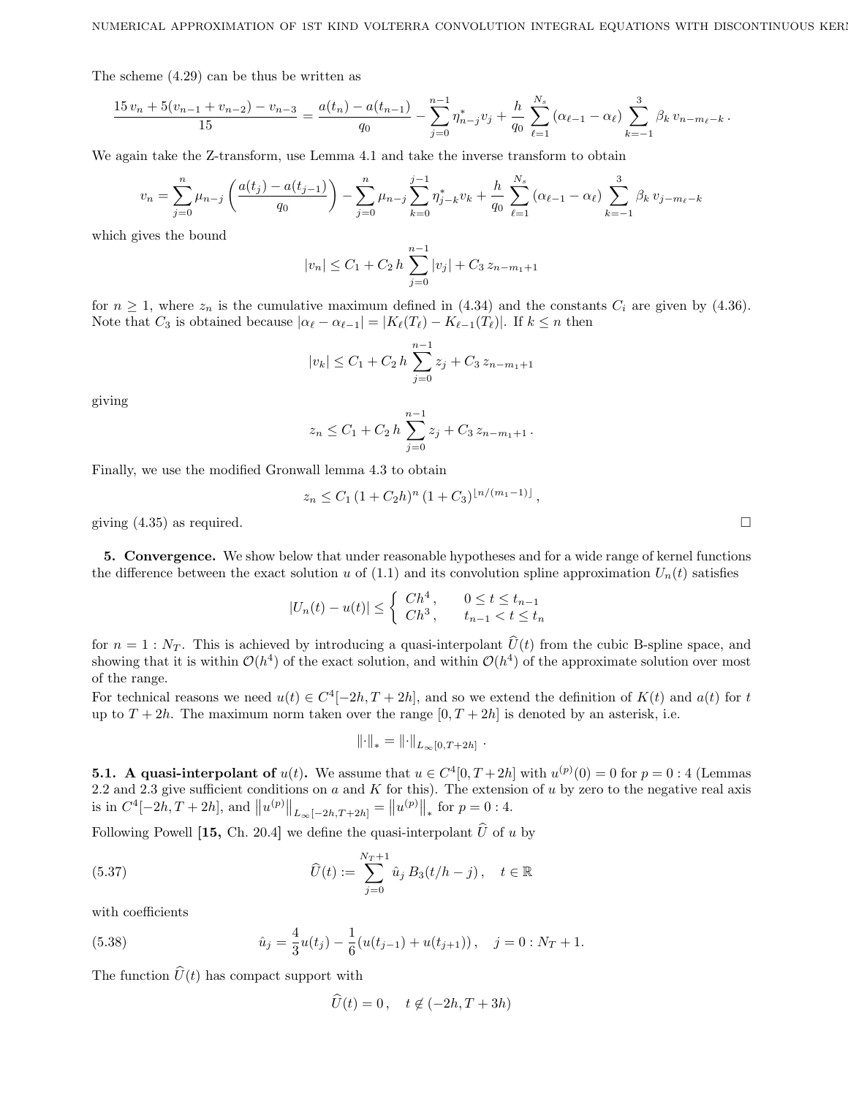The scheme (4.29) can be thus be written as

$$
\frac{15 v_n + 5(v_{n-1} + v_{n-2}) - v_{n-3}}{15} = \frac{a(t_n) - a(t_{n-1})}{q_0} - \sum_{j=0}^{n-1} \eta_{n-j}^* v_j + \frac{h}{q_0} \sum_{\ell=1}^{N_s} (\alpha_{\ell-1} - \alpha_{\ell}) \sum_{k=-1}^3 \beta_k v_{n-m_{\ell}-k}.
$$

We again take the Z-transform, use Lemma 4.1 and take the inverse transform to obtain

$$
v_n = \sum_{j=0}^n \mu_{n-j} \left( \frac{a(t_j) - a(t_{j-1})}{q_0} \right) - \sum_{j=0}^n \mu_{n-j} \sum_{k=0}^{j-1} \eta_{j-k}^* v_k + \frac{h}{q_0} \sum_{\ell=1}^{N_s} \left( \alpha_{\ell-1} - \alpha_{\ell} \right) \sum_{k=-1}^3 \beta_k v_{j-m_{\ell}-k}
$$

which gives the bound

$$
|v_n| \le C_1 + C_2 h \sum_{j=0}^{n-1} |v_j| + C_3 z_{n-m_1+1}
$$

for  $n \geq 1$ , where  $z_n$  is the cumulative maximum defined in (4.34) and the constants  $C_i$  are given by (4.36). Note that  $C_3$  is obtained because  $|\alpha_{\ell} - \alpha_{\ell-1}| = |K_{\ell}(T_{\ell}) - K_{\ell-1}(T_{\ell})|$ . If  $k \leq n$  then

$$
|v_k| \le C_1 + C_2 h \sum_{j=0}^{n-1} z_j + C_3 z_{n-m_1+1}
$$

giving

$$
z_n \leq C_1 + C_2 h \sum_{j=0}^{n-1} z_j + C_3 z_{n-m_1+1}.
$$

Finally, we use the modified Gronwall lemma 4.3 to obtain

$$
z_n \le C_1 \left(1 + C_2 h\right)^n \left(1 + C_3\right)^{\lfloor n/(m_1 - 1) \rfloor},
$$

giving  $(4.35)$  as required.

5. Convergence. We show below that under reasonable hypotheses and for a wide range of kernel functions the difference between the exact solution u of (1.1) and its convolution spline approximation  $U_n(t)$  satisfies

$$
|U_n(t) - u(t)| \le \begin{cases} Ch^4, & 0 \le t \le t_{n-1} \\ Ch^3, & t_{n-1} < t \le t_n \end{cases}
$$

for  $n = 1 : N_T$ . This is achieved by introducing a quasi-interpolant  $\hat{U}(t)$  from the cubic B-spline space, and showing that it is within  $\mathcal{O}(h^4)$  of the exact solution, and within  $\mathcal{O}(h^4)$  of the approximate solution over most of the range.

For technical reasons we need  $u(t) \in C^4[-2h, T+2h]$ , and so we extend the definition of  $K(t)$  and  $a(t)$  for t up to  $T + 2h$ . The maximum norm taken over the range  $[0, T + 2h]$  is denoted by an asterisk, i.e.

$$
\left\|\cdot\right\|_{*}=\left\|\cdot\right\|_{L_{\infty}[0,T+2h]}.
$$

**5.1.** A quasi-interpolant of  $u(t)$ . We assume that  $u \in C^4[0, T+2h]$  with  $u^{(p)}(0) = 0$  for  $p = 0:4$  (Lemmas 2.2 and 2.3 give sufficient conditions on  $a$  and  $K$  for this). The extension of  $u$  by zero to the negative real axis is in  $C^4[-2h, T+2h]$ , and  $||u^{(p)}||_{L_{\infty}[-2h, T+2h]} = ||u^{(p)}||_*$  for  $p = 0:4$ .

Following Powell [15, Ch. 20.4] we define the quasi-interpolant  $\hat{U}$  of u by

(5.37) 
$$
\widehat{U}(t) := \sum_{j=0}^{N_T+1} \hat{u}_j B_3(t/h - j), \quad t \in \mathbb{R}
$$

with coefficients

(5.38) 
$$
\hat{u}_j = \frac{4}{3}u(t_j) - \frac{1}{6}(u(t_{j-1}) + u(t_{j+1})), \quad j = 0: N_T + 1.
$$

The function  $\widehat{U}(t)$  has compact support with

$$
\widehat{U}(t) = 0, \quad t \notin (-2h, T + 3h)
$$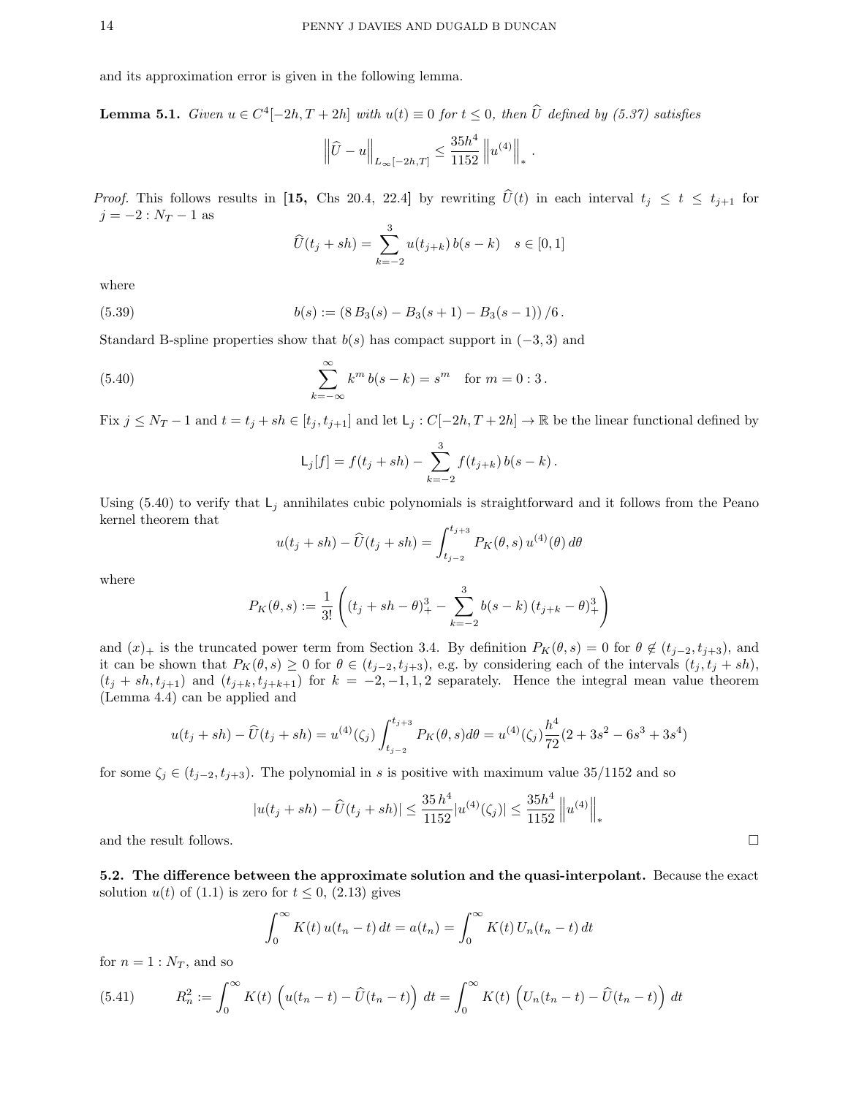and its approximation error is given in the following lemma.

**Lemma 5.1.** Given  $u \in C^4[-2h, T + 2h]$  with  $u(t) \equiv 0$  for  $t \le 0$ , then  $\widehat{U}$  defined by (5.37) satisfies

$$
\left\|\widehat{U} - u\right\|_{L_{\infty}[-2h,T]} \leq \frac{35h^4}{1152} \left\|u^{(4)}\right\|_*.
$$

*Proof.* This follows results in [15, Chs 20.4, 22.4] by rewriting  $\hat{U}(t)$  in each interval  $t_j \leq t \leq t_{j+1}$  for  $j = -2 : N_T - 1$  as

$$
\widehat{U}(t_j + sh) = \sum_{k=-2}^{3} u(t_{j+k}) b(s-k) \quad s \in [0,1]
$$

where

(5.39) 
$$
b(s) := (8 B_3(s) - B_3(s+1) - B_3(s-1)) / 6.
$$

Standard B-spline properties show that  $b(s)$  has compact support in  $(-3, 3)$  and

(5.40) 
$$
\sum_{k=-\infty}^{\infty} k^m b(s-k) = s^m \text{ for } m = 0:3.
$$

Fix  $j \leq N_T - 1$  and  $t = t_j + sh \in [t_j, t_{j+1}]$  and let  $\mathsf{L}_j : C[-2h, T + 2h] \to \mathbb{R}$  be the linear functional defined by

$$
L_j[f] = f(t_j + sh) - \sum_{k=-2}^{3} f(t_{j+k}) b(s - k).
$$

Using (5.40) to verify that  $L_i$  annihilates cubic polynomials is straightforward and it follows from the Peano kernel theorem that

$$
u(t_j + sh) - \widehat{U}(t_j + sh) = \int_{t_{j-2}}^{t_{j+3}} P_K(\theta, s) u^{(4)}(\theta) d\theta
$$

where

$$
P_K(\theta, s) := \frac{1}{3!} \left( (t_j + sh - \theta)_+^3 - \sum_{k=-2}^3 b(s - k) (t_{j+k} - \theta)_+^3 \right)
$$

and  $(x)_+$  is the truncated power term from Section 3.4. By definition  $P_K(\theta, s) = 0$  for  $\theta \notin (t_{i-2}, t_{i+3})$ , and it can be shown that  $P_K(\theta, s) \geq 0$  for  $\theta \in (t_{j-2}, t_{j+3})$ , e.g. by considering each of the intervals  $(t_j, t_j + sh)$ ,  $(t_j + sh, t_{j+1})$  and  $(t_{j+k}, t_{j+k+1})$  for  $k = -2, -1, 1, 2$  separately. Hence the integral mean value theorem (Lemma 4.4) can be applied and

$$
u(t_j + sh) - \widehat{U}(t_j + sh) = u^{(4)}(\zeta_j) \int_{t_{j-2}}^{t_{j+3}} P_K(\theta, s) d\theta = u^{(4)}(\zeta_j) \frac{h^4}{72} (2 + 3s^2 - 6s^3 + 3s^4)
$$

for some  $\zeta_j \in (t_{j-2}, t_{j+3})$ . The polynomial in s is positive with maximum value 35/1152 and so

$$
|u(t_j + sh) - \widehat{U}(t_j + sh)| \le \frac{35 h^4}{1152} |u^{(4)}(\zeta_j)| \le \frac{35 h^4}{1152} ||u^{(4)}||_*
$$

and the result follows.

5.2. The difference between the approximate solution and the quasi-interpolant. Because the exact solution  $u(t)$  of (1.1) is zero for  $t \leq 0$ , (2.13) gives

$$
\int_0^\infty K(t) u(t_n - t) dt = a(t_n) = \int_0^\infty K(t) U_n(t_n - t) dt
$$

for  $n = 1 : N_T$ , and so

(5.41) 
$$
R_n^2 := \int_0^\infty K(t) \left( u(t_n - t) - \widehat{U}(t_n - t) \right) dt = \int_0^\infty K(t) \left( U_n(t_n - t) - \widehat{U}(t_n - t) \right) dt
$$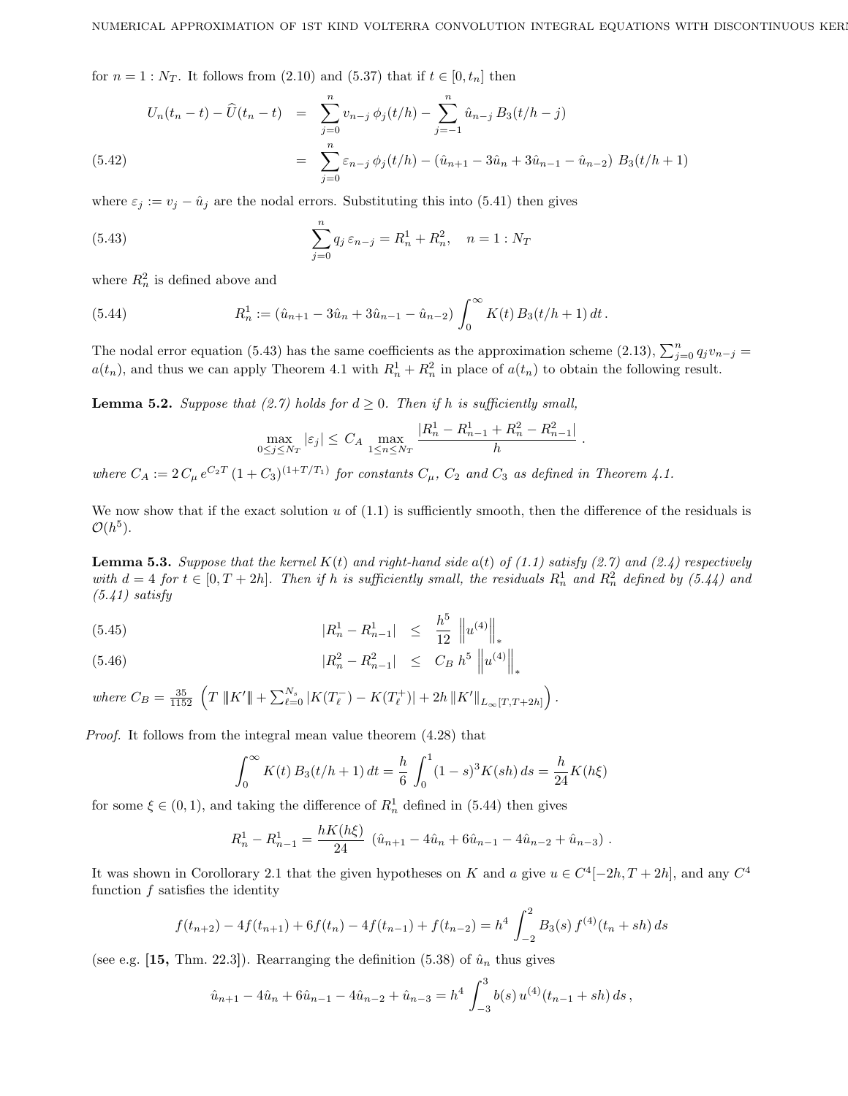for  $n = 1 : N_T$ . It follows from (2.10) and (5.37) that if  $t \in [0, t_n]$  then

$$
U_n(t_n - t) - \widehat{U}(t_n - t) = \sum_{j=0}^n v_{n-j} \phi_j(t/h) - \sum_{j=-1}^n \hat{u}_{n-j} B_3(t/h - j)
$$
  

$$
= \sum_{j=0}^n \varepsilon_{n-j} \phi_j(t/h) - (\hat{u}_{n+1} - 3\hat{u}_n + 3\hat{u}_{n-1} - \hat{u}_{n-2}) B_3(t/h + 1)
$$

where  $\varepsilon_j := v_j - \hat{u}_j$  are the nodal errors. Substituting this into (5.41) then gives

(5.43) 
$$
\sum_{j=0}^{n} q_j \varepsilon_{n-j} = R_n^1 + R_n^2, \quad n = 1 : N_T
$$

where  $R_n^2$  is defined above and

(5.44) 
$$
R_n^1 := (\hat{u}_{n+1} - 3\hat{u}_n + 3\hat{u}_{n-1} - \hat{u}_{n-2}) \int_0^\infty K(t) B_3(t/h + 1) dt.
$$

The nodal error equation (5.43) has the same coefficients as the approximation scheme (2.13),  $\sum_{j=0}^{n} q_j v_{n-j} =$  $a(t_n)$ , and thus we can apply Theorem 4.1 with  $R_n^1 + R_n^2$  in place of  $a(t_n)$  to obtain the following result.

**Lemma 5.2.** Suppose that (2.7) holds for  $d \geq 0$ . Then if h is sufficiently small,

$$
\max_{0 \le j \le N_T} |\varepsilon_j| \le \, C_A \, \max_{1 \le n \le N_T} \frac{|R_n^1 - R_{n-1}^1 + R_n^2 - R_{n-1}^2|}{h}
$$

.

where  $C_A := 2 C_\mu e^{C_2 T} (1 + C_3)^{(1+T/T_1)}$  for constants  $C_\mu$ ,  $C_2$  and  $C_3$  as defined in Theorem 4.1.

We now show that if the exact solution u of  $(1.1)$  is sufficiently smooth, then the difference of the residuals is  $\mathcal{O}(h^5)$ .

**Lemma 5.3.** Suppose that the kernel  $K(t)$  and right-hand side  $a(t)$  of (1.1) satisfy (2.7) and (2.4) respectively with  $d = 4$  for  $t \in [0, T + 2h]$ . Then if h is sufficiently small, the residuals  $R_n^1$  and  $R_n^2$  defined by (5.44) and  $(5.41)$  satisfy

$$
(5.45) \t\t |R_n^1 - R_{n-1}^1| \le \frac{h^5}{12} \|u^{(4)}\|_*
$$

(5.46) 
$$
|R_n^2 - R_{n-1}^2| \leq C_B h^5 \left\| u^{(4)} \right\|_*
$$

where  $C_B = \frac{35}{1152} \left( T \|\|K'\| + \sum_{\ell=0}^{N_s} |K(T_{\ell}^-) - K(T_{\ell}^+)| + 2h \, \|K'\|_{L_{\infty}[T,T+2h]} \right)$ .

Proof. It follows from the integral mean value theorem (4.28) that

$$
\int_0^\infty K(t) B_3(t/h + 1) dt = \frac{h}{6} \int_0^1 (1 - s)^3 K(sh) ds = \frac{h}{24} K(h\xi)
$$

for some  $\xi \in (0,1)$ , and taking the difference of  $R_n^1$  defined in (5.44) then gives

$$
R_n^1 - R_{n-1}^1 = \frac{hK(h\xi)}{24} \left( \hat{u}_{n+1} - 4\hat{u}_n + 6\hat{u}_{n-1} - 4\hat{u}_{n-2} + \hat{u}_{n-3} \right).
$$

It was shown in Corollorary 2.1 that the given hypotheses on K and a give  $u \in C^4[-2h, T+2h]$ , and any  $C^4$ function  $f$  satisfies the identity

$$
f(t_{n+2}) - 4f(t_{n+1}) + 6f(t_n) - 4f(t_{n-1}) + f(t_{n-2}) = h^4 \int_{-2}^{2} B_3(s) f^{(4)}(t_n + sh) ds
$$

(see e.g. [15, Thm. 22.3]). Rearranging the definition (5.38) of  $\hat{u}_n$  thus gives

$$
\hat{u}_{n+1} - 4\hat{u}_n + 6\hat{u}_{n-1} - 4\hat{u}_{n-2} + \hat{u}_{n-3} = h^4 \int_{-3}^3 b(s) u^{(4)}(t_{n-1} + sh) ds,
$$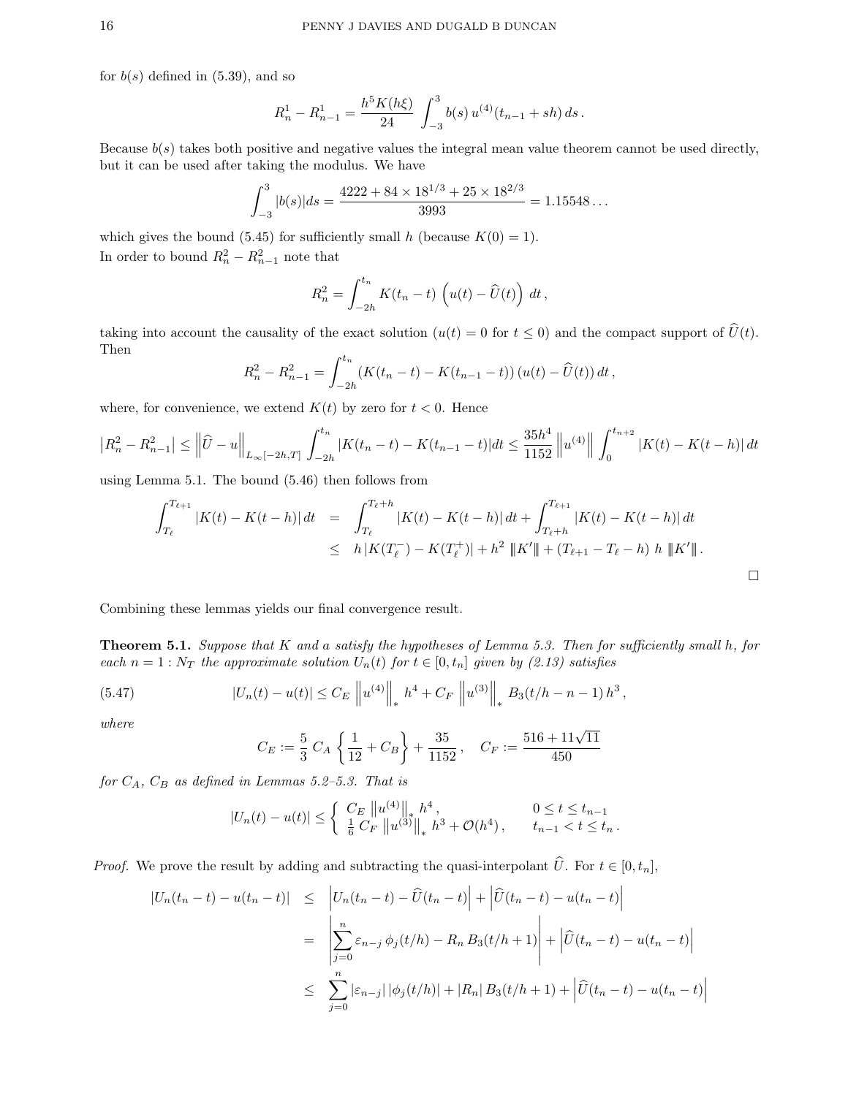for  $b(s)$  defined in  $(5.39)$ , and so

$$
R_n^1 - R_{n-1}^1 = \frac{h^5 K(h\xi)}{24} \int_{-3}^3 b(s) u^{(4)}(t_{n-1} + sh) ds.
$$

Because  $b(s)$  takes both positive and negative values the integral mean value theorem cannot be used directly, but it can be used after taking the modulus. We have

$$
\int_{-3}^{3} |b(s)| ds = \frac{4222 + 84 \times 18^{1/3} + 25 \times 18^{2/3}}{3993} = 1.15548...
$$

which gives the bound (5.45) for sufficiently small h (because  $K(0) = 1$ ). In order to bound  $R_n^2 - R_{n-1}^2$  note that

$$
R_n^2 = \int_{-2h}^{t_n} K(t_n - t) \left( u(t) - \widehat{U}(t) \right) dt,
$$

taking into account the causality of the exact solution  $(u(t) = 0$  for  $t \leq 0)$  and the compact support of  $\hat{U}(t)$ . Then

$$
R_n^2 - R_{n-1}^2 = \int_{-2h}^{t_n} (K(t_n - t) - K(t_{n-1} - t)) (u(t) - \widehat{U}(t)) dt,
$$

where, for convenience, we extend  $K(t)$  by zero for  $t < 0$ . Hence

$$
\left| R_n^2 - R_{n-1}^2 \right| \le \left\| \widehat{U} - u \right\|_{L_\infty[-2h,T]} \int_{-2h}^{t_n} |K(t_n - t) - K(t_{n-1} - t)| dt \le \frac{35h^4}{1152} \left\| u^{(4)} \right\| \int_0^{t_{n+2}} |K(t) - K(t - h)| dt
$$

using Lemma 5.1. The bound (5.46) then follows from

$$
\int_{T_{\ell}}^{T_{\ell+1}} |K(t) - K(t-h)| dt = \int_{T_{\ell}}^{T_{\ell}+h} |K(t) - K(t-h)| dt + \int_{T_{\ell}+h}^{T_{\ell+1}} |K(t) - K(t-h)| dt
$$
  
\n
$$
\leq h |K(T_{\ell}^-) - K(T_{\ell}^+)| + h^2 |K'| + (T_{\ell+1} - T_{\ell} - h) h |K'|.
$$

Combining these lemmas yields our final convergence result.

**Theorem 5.1.** Suppose that  $K$  and a satisfy the hypotheses of Lemma 5.3. Then for sufficiently small  $h$ , for each  $n = 1 : N_T$  the approximate solution  $U_n(t)$  for  $t \in [0, t_n]$  given by (2.13) satisfies

(5.47) 
$$
|U_n(t) - u(t)| \leq C_E \left\| u^{(4)} \right\|_* h^4 + C_F \left\| u^{(3)} \right\|_* B_3(t/h - n - 1) h^3,
$$

where

$$
C_E := \frac{5}{3} C_A \left\{ \frac{1}{12} + C_B \right\} + \frac{35}{1152}, \quad C_F := \frac{516 + 11\sqrt{11}}{450}
$$

for  $C_A$ ,  $C_B$  as defined in Lemmas 5.2–5.3. That is

$$
|U_n(t) - u(t)| \leq \begin{cases} C_E \, \|u^{(4)}\|_{*} \, h^4, & 0 \leq t \leq t_{n-1} \\ \frac{1}{6} \, C_F \, \|u^{(3)}\|_{*} \, h^3 + \mathcal{O}(h^4), & t_{n-1} < t \leq t_n. \end{cases}
$$

*Proof.* We prove the result by adding and subtracting the quasi-interpolant  $\hat{U}$ . For  $t \in [0, t_n]$ ,

$$
\begin{aligned}\n|U_n(t_n - t) - u(t_n - t)| &\leq \left| U_n(t_n - t) - \widehat{U}(t_n - t) \right| + \left| \widehat{U}(t_n - t) - u(t_n - t) \right| \\
&= \left| \sum_{j=0}^n \varepsilon_{n-j} \phi_j(t/h) - R_n B_3(t/h + 1) \right| + \left| \widehat{U}(t_n - t) - u(t_n - t) \right| \\
&\leq \sum_{j=0}^n |\varepsilon_{n-j}| |\phi_j(t/h)| + |R_n| B_3(t/h + 1) + \left| \widehat{U}(t_n - t) - u(t_n - t) \right|\n\end{aligned}
$$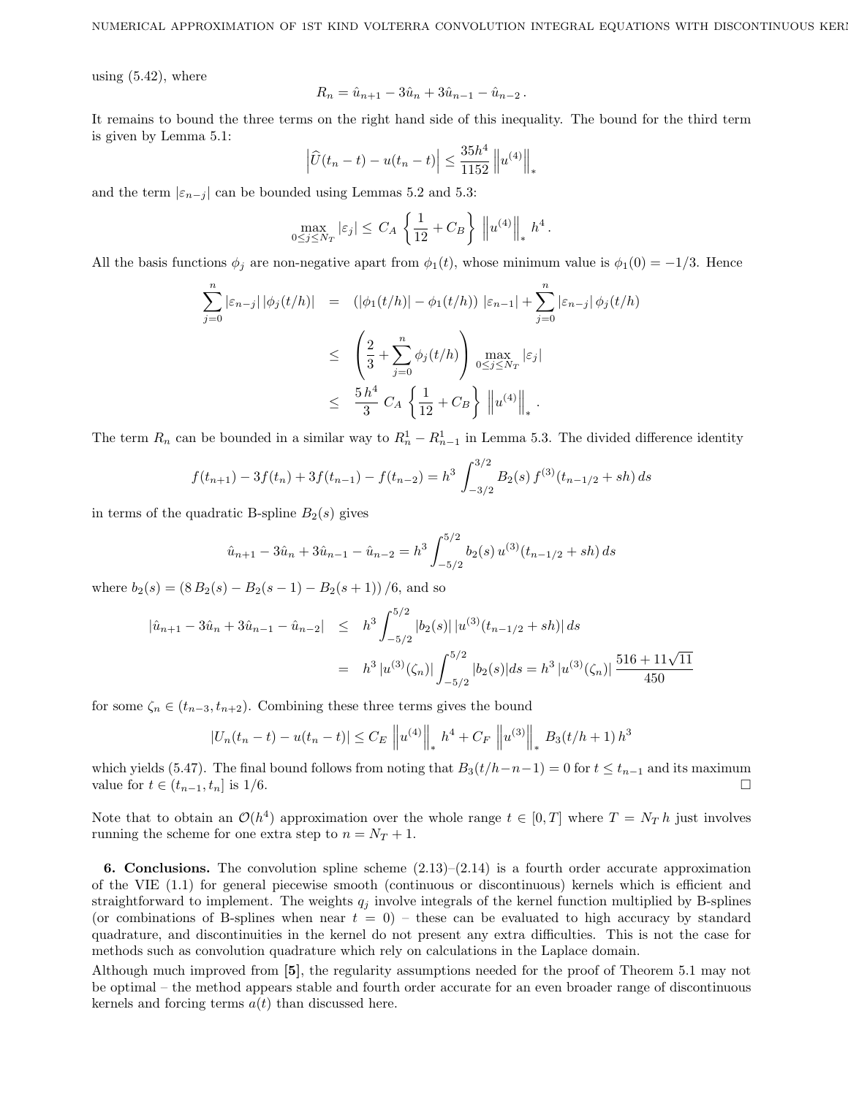using  $(5.42)$ , where

$$
R_n = \hat{u}_{n+1} - 3\hat{u}_n + 3\hat{u}_{n-1} - \hat{u}_{n-2}.
$$

It remains to bound the three terms on the right hand side of this inequality. The bound for the third term is given by Lemma 5.1:

$$
\left| \widehat{U}(t_n - t) - u(t_n - t) \right| \le \frac{35h^4}{1152} \left\| u^{(4)} \right\|_*
$$

and the term  $|\varepsilon_{n-j}|$  can be bounded using Lemmas 5.2 and 5.3:

$$
\max_{0 \le j \le N_T} |\varepsilon_j| \le C_A \left\{ \frac{1}{12} + C_B \right\} \| u^{(4)} \|_* h^4.
$$

All the basis functions  $\phi_j$  are non-negative apart from  $\phi_1(t)$ , whose minimum value is  $\phi_1(0) = -1/3$ . Hence

$$
\sum_{j=0}^{n} |\varepsilon_{n-j}| |\phi_j(t/h)| = (|\phi_1(t/h)| - \phi_1(t/h)) |\varepsilon_{n-1}| + \sum_{j=0}^{n} |\varepsilon_{n-j}| \phi_j(t/h)
$$
  

$$
\leq \left(\frac{2}{3} + \sum_{j=0}^{n} \phi_j(t/h) \right) \max_{0 \leq j \leq N_T} |\varepsilon_j|
$$
  

$$
\leq \frac{5 h^4}{3} C_A \left\{ \frac{1}{12} + C_B \right\} ||u^{(4)}||_*.
$$

The term  $R_n$  can be bounded in a similar way to  $R_n^1 - R_{n-1}^1$  in Lemma 5.3. The divided difference identity

$$
f(t_{n+1}) - 3f(t_n) + 3f(t_{n-1}) - f(t_{n-2}) = h^3 \int_{-3/2}^{3/2} B_2(s) f^{(3)}(t_{n-1/2} + sh) ds
$$

in terms of the quadratic B-spline  $B_2(s)$  gives

$$
\hat{u}_{n+1} - 3\hat{u}_n + 3\hat{u}_{n-1} - \hat{u}_{n-2} = h^3 \int_{-5/2}^{5/2} b_2(s) u^{(3)}(t_{n-1/2} + sh) ds
$$

where  $b_2(s) = (8 B_2(s) - B_2(s-1) - B_2(s+1))$  /6, and so

$$
|\hat{u}_{n+1} - 3\hat{u}_n + 3\hat{u}_{n-1} - \hat{u}_{n-2}| \leq h^3 \int_{-5/2}^{5/2} |b_2(s)| |u^{(3)}(t_{n-1/2} + sh)| ds
$$
  
=  $h^3 |u^{(3)}(\zeta_n)| \int_{-5/2}^{5/2} |b_2(s)| ds = h^3 |u^{(3)}(\zeta_n)| \frac{516 + 11\sqrt{11}}{450}$ 

for some  $\zeta_n \in (t_{n-3}, t_{n+2})$ . Combining these three terms gives the bound

$$
|U_n(t_n - t) - u(t_n - t)| \le C_E \left\| u^{(4)} \right\|_* h^4 + C_F \left\| u^{(3)} \right\|_* B_3(t/h + 1) h^3
$$

which yields (5.47). The final bound follows from noting that  $B_3(t/h-n-1) = 0$  for  $t \le t_{n-1}$  and its maximum value for  $t \in (t_{n-1}, t_n]$  is 1/6.

Note that to obtain an  $\mathcal{O}(h^4)$  approximation over the whole range  $t \in [0,T]$  where  $T = N_T h$  just involves running the scheme for one extra step to  $n = N_T + 1$ .

**6. Conclusions.** The convolution spline scheme  $(2.13)-(2.14)$  is a fourth order accurate approximation of the VIE (1.1) for general piecewise smooth (continuous or discontinuous) kernels which is efficient and straightforward to implement. The weights  $q_j$  involve integrals of the kernel function multiplied by B-splines (or combinations of B-splines when near  $t = 0$ ) – these can be evaluated to high accuracy by standard quadrature, and discontinuities in the kernel do not present any extra difficulties. This is not the case for methods such as convolution quadrature which rely on calculations in the Laplace domain.

Although much improved from [5], the regularity assumptions needed for the proof of Theorem 5.1 may not be optimal – the method appears stable and fourth order accurate for an even broader range of discontinuous kernels and forcing terms  $a(t)$  than discussed here.